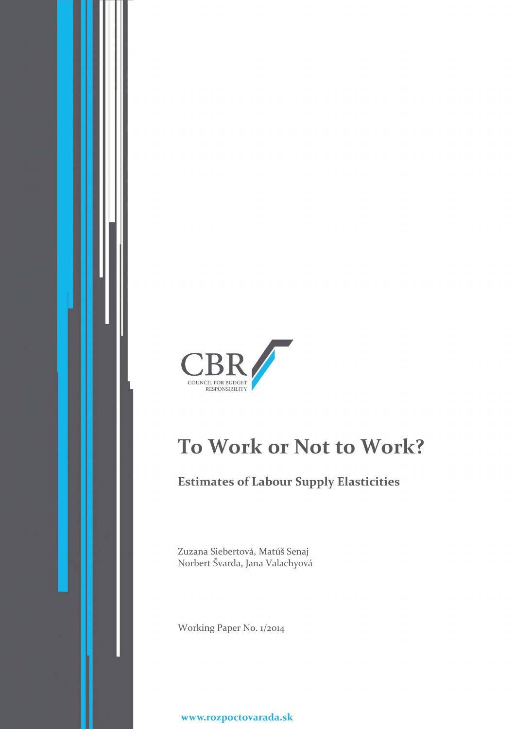

# **To Work or Not to Work?**

# **Estimates of Labour Supply Elasticities**

Zuzana Siebertová, Matúš Senaj Norbert Švarda, Jana Valachyová

Working Paper No. 1/2014

www.rozpoctovarada.sk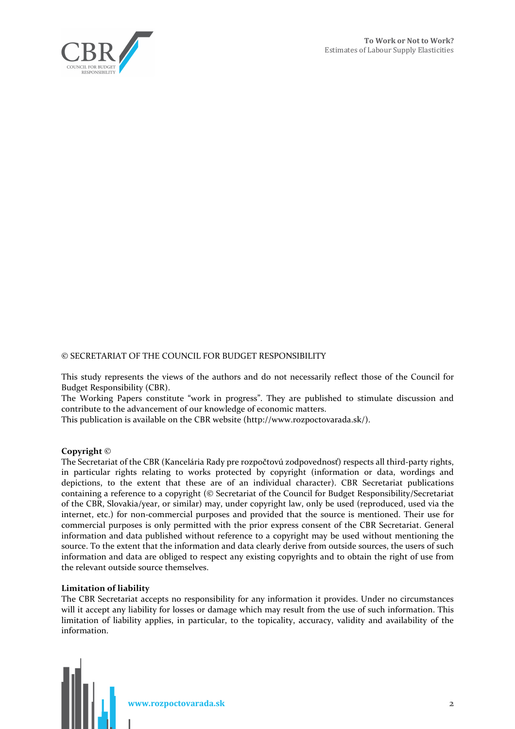

#### © SECRETARIAT OF THE COUNCIL FOR BUDGET RESPONSIBILITY

This study represents the views of the authors and do not necessarily reflect those of the Council for Budget Responsibility (CBR).

The Working Papers constitute "work in progress". They are published to stimulate discussion and contribute to the advancement of our knowledge of economic matters.

This publication is available on the CBR website (http://www.rozpoctovarada.sk/).

#### **Copyright** ©

The Secretariat of the CBR (Kancelária Rady pre rozpočtovú zodpovednosť) respects all third-party rights, in particular rights relating to works protected by copyright (information or data, wordings and depictions, to the extent that these are of an individual character). CBR Secretariat publications containing a reference to a copyright (© Secretariat of the Council for Budget Responsibility/Secretariat of the CBR, Slovakia/year, or similar) may, under copyright law, only be used (reproduced, used via the internet, etc.) for non-commercial purposes and provided that the source is mentioned. Their use for commercial purposes is only permitted with the prior express consent of the CBR Secretariat. General information and data published without reference to a copyright may be used without mentioning the source. To the extent that the information and data clearly derive from outside sources, the users of such information and data are obliged to respect any existing copyrights and to obtain the right of use from the relevant outside source themselves.

#### **Limitation of liability**

The CBR Secretariat accepts no responsibility for any information it provides. Under no circumstances will it accept any liability for losses or damage which may result from the use of such information. This limitation of liability applies, in particular, to the topicality, accuracy, validity and availability of the information.

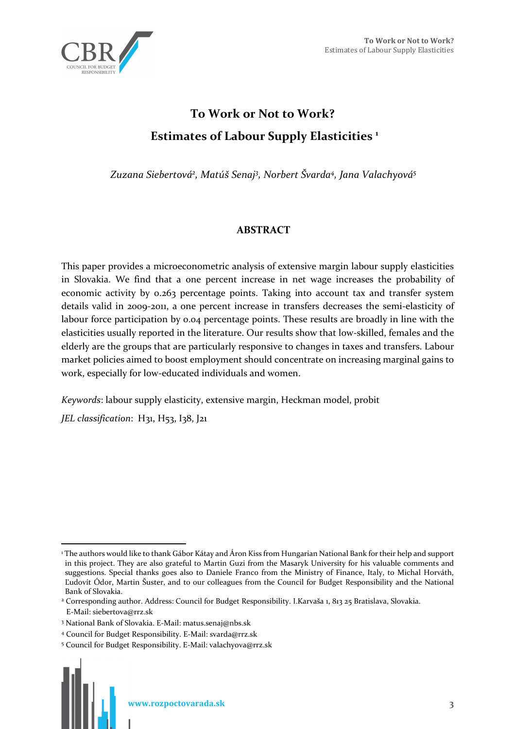

# **To Work or Not to Work? Estimates of Labour Supply Elasticities <sup>1</sup>**

*Zuzana Siebertová<sup>2</sup> , Matúš Senaj<sup>3</sup> , Norbert Švarda<sup>4</sup> , Jana Valachyová<sup>5</sup>*

# **ABSTRACT**

This paper provides a microeconometric analysis of extensive margin labour supply elasticities in Slovakia. We find that a one percent increase in net wage increases the probability of economic activity by 0.263 percentage points. Taking into account tax and transfer system details valid in 2009-2011, a one percent increase in transfers decreases the semi-elasticity of labour force participation by 0.04 percentage points. These results are broadly in line with the elasticities usually reported in the literature. Our results show that low-skilled, females and the elderly are the groups that are particularly responsive to changes in taxes and transfers. Labour market policies aimed to boost employment should concentrate on increasing marginal gains to work, especially for low-educated individuals and women.

*Keywords*: labour supply elasticity, extensive margin, Heckman model, probit *JEL classification*: H31, H53, I38, J21

 $\overline{a}$ 1 The authors would like to thank Gábor Kátay and Áron Kiss from Hungarian National Bank for their help and support in this project. They are also grateful to Martin Guzi from the Masaryk University for his valuable comments and suggestions. Special thanks goes also to Daniele Franco from the Ministry of Finance, Italy, to Michal Horváth, Ľudovít Ódor, Martin Šuster, and to our colleagues from the Council for Budget Responsibility and the National Bank of Slovakia.

<sup>2</sup> Corresponding author. Address: Council for Budget Responsibility. I.Karvaša 1, 813 25 Bratislava, Slovakia. E-Mail: siebertova@rrz.sk

<sup>3</sup> National Bank of Slovakia. E-Mail: matus.senaj@nbs.sk

<sup>4</sup> Council for Budget Responsibility. E-Mail: svarda@rrz.sk

<sup>5</sup> Council for Budget Responsibility. E-Mail: valachyova@rrz.sk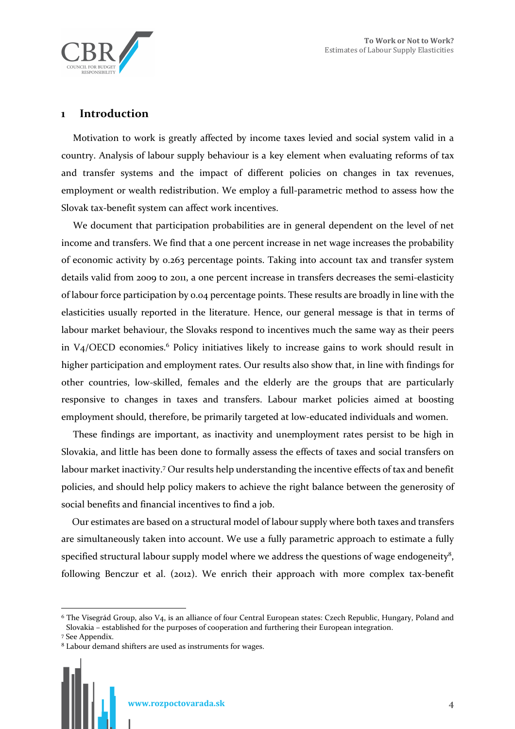

# **1 Introduction**

Motivation to work is greatly affected by income taxes levied and social system valid in a country. Analysis of labour supply behaviour is a key element when evaluating reforms of tax and transfer systems and the impact of different policies on changes in tax revenues, employment or wealth redistribution. We employ a full-parametric method to assess how the Slovak tax-benefit system can affect work incentives.

We document that participation probabilities are in general dependent on the level of net income and transfers. We find that a one percent increase in net wage increases the probability of economic activity by 0.263 percentage points. Taking into account tax and transfer system details valid from 2009 to 2011, a one percent increase in transfers decreases the semi-elasticity of labour force participation by 0.04 percentage points. These results are broadly in line with the elasticities usually reported in the literature. Hence, our general message is that in terms of labour market behaviour, the Slovaks respond to incentives much the same way as their peers in V<sub>4</sub>/OECD economies.<sup>6</sup> Policy initiatives likely to increase gains to work should result in higher participation and employment rates. Our results also show that, in line with findings for other countries, low-skilled, females and the elderly are the groups that are particularly responsive to changes in taxes and transfers. Labour market policies aimed at boosting employment should, therefore, be primarily targeted at low-educated individuals and women.

These findings are important, as inactivity and unemployment rates persist to be high in Slovakia, and little has been done to formally assess the effects of taxes and social transfers on labour market inactivity.<sup>7</sup> Our results help understanding the incentive effects of tax and benefit policies, and should help policy makers to achieve the right balance between the generosity of social benefits and financial incentives to find a job.

Our estimates are based on a structural model of labour supply where both taxes and transfers are simultaneously taken into account. We use a fully parametric approach to estimate a fully specified structural labour supply model where we address the questions of wage endogeneity<sup>8</sup>, following Benczur et al. (2012). We enrich their approach with more complex tax-benefit

 $\overline{a}$ 



<sup>6</sup> The Visegrád Group, also V4, is an alliance of four Central European states: Czech Republic, Hungary, Poland and Slovakia – established for the purposes of cooperation and furthering their European integration.

<sup>7</sup> See Appendix.

<sup>8</sup> Labour demand shifters are used as instruments for wages.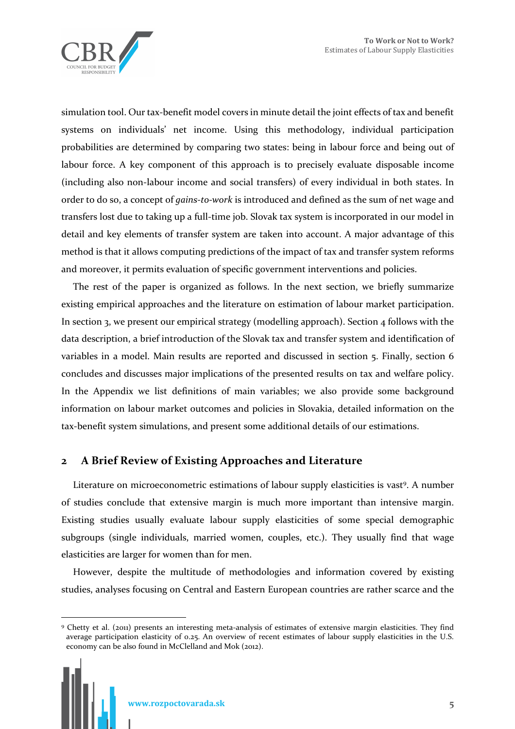

simulation tool. Our tax-benefit model covers in minute detail the joint effects of tax and benefit systems on individuals' net income. Using this methodology, individual participation probabilities are determined by comparing two states: being in labour force and being out of labour force. A key component of this approach is to precisely evaluate disposable income (including also non-labour income and social transfers) of every individual in both states. In order to do so, a concept of *gains-to-work* is introduced and defined as the sum of net wage and transfers lost due to taking up a full-time job. Slovak tax system is incorporated in our model in detail and key elements of transfer system are taken into account. A major advantage of this method is that it allows computing predictions of the impact of tax and transfer system reforms and moreover, it permits evaluation of specific government interventions and policies.

The rest of the paper is organized as follows. In the next section, we briefly summarize existing empirical approaches and the literature on estimation of labour market participation. In section 3, we present our empirical strategy (modelling approach). Section 4 follows with the data description, a brief introduction of the Slovak tax and transfer system and identification of variables in a model. Main results are reported and discussed in section 5. Finally, section 6 concludes and discusses major implications of the presented results on tax and welfare policy. In the Appendix we list definitions of main variables; we also provide some background information on labour market outcomes and policies in Slovakia, detailed information on the tax-benefit system simulations, and present some additional details of our estimations.

# **2 A Brief Review of Existing Approaches and Literature**

Literature on microeconometric estimations of labour supply elasticities is vast<sup>9</sup>. A number of studies conclude that extensive margin is much more important than intensive margin. Existing studies usually evaluate labour supply elasticities of some special demographic subgroups (single individuals, married women, couples, etc.). They usually find that wage elasticities are larger for women than for men.

However, despite the multitude of methodologies and information covered by existing studies, analyses focusing on Central and Eastern European countries are rather scarce and the

 $\overline{a}$ 9 Chetty et al. (2011) presents an interesting meta-analysis of estimates of extensive margin elasticities. They find average participation elasticity of 0.25. An overview of recent estimates of labour supply elasticities in the U.S. economy can be also found in McClelland and Mok (2012).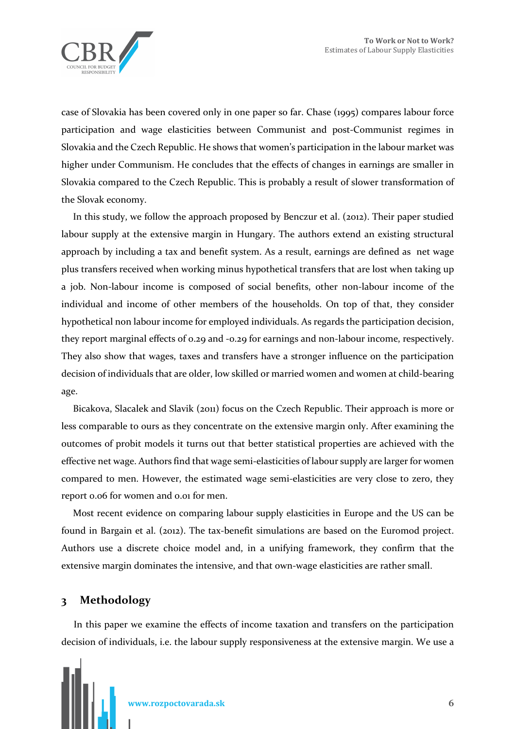

case of Slovakia has been covered only in one paper so far. Chase (1995) compares labour force participation and wage elasticities between Communist and post-Communist regimes in Slovakia and the Czech Republic. He shows that women's participation in the labour market was higher under Communism. He concludes that the effects of changes in earnings are smaller in Slovakia compared to the Czech Republic. This is probably a result of slower transformation of the Slovak economy.

In this study, we follow the approach proposed by Benczur et al. (2012). Their paper studied labour supply at the extensive margin in Hungary. The authors extend an existing structural approach by including a tax and benefit system. As a result, earnings are defined as net wage plus transfers received when working minus hypothetical transfers that are lost when taking up a job. Non-labour income is composed of social benefits, other non-labour income of the individual and income of other members of the households. On top of that, they consider hypothetical non labour income for employed individuals. As regards the participation decision, they report marginal effects of 0.29 and -0.29 for earnings and non-labour income, respectively. They also show that wages, taxes and transfers have a stronger influence on the participation decision of individuals that are older, low skilled or married women and women at child-bearing age.

Bicakova, Slacalek and Slavik (2011) focus on the Czech Republic. Their approach is more or less comparable to ours as they concentrate on the extensive margin only. After examining the outcomes of probit models it turns out that better statistical properties are achieved with the effective net wage. Authors find that wage semi-elasticities of labour supply are larger for women compared to men. However, the estimated wage semi-elasticities are very close to zero, they report 0.06 for women and 0.01 for men.

Most recent evidence on comparing labour supply elasticities in Europe and the US can be found in Bargain et al. (2012). The tax-benefit simulations are based on the Euromod project. Authors use a discrete choice model and, in a unifying framework, they confirm that the extensive margin dominates the intensive, and that own-wage elasticities are rather small.

# **3 Methodology**

In this paper we examine the effects of income taxation and transfers on the participation decision of individuals, i.e. the labour supply responsiveness at the extensive margin. We use a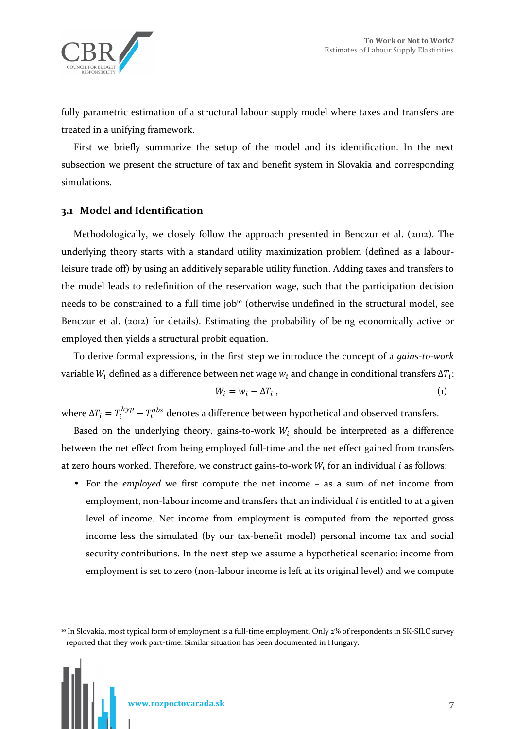

fully parametric estimation of a structural labour supply model where taxes and transfers are treated in a unifying framework.

First we briefly summarize the setup of the model and its identification. In the next subsection we present the structure of tax and benefit system in Slovakia and corresponding simulations.

# **3.1 Model and Identification**

Methodologically, we closely follow the approach presented in Benczur et al. (2012). The underlying theory starts with a standard utility maximization problem (defined as a labourleisure trade off) by using an additively separable utility function. Adding taxes and transfers to the model leads to redefinition of the reservation wage, such that the participation decision needs to be constrained to a full time job<sup>10</sup> (otherwise undefined in the structural model, see Benczur et al. (2012) for details). Estimating the probability of being economically active or employed then yields a structural probit equation.

To derive formal expressions, in the first step we introduce the concept of a *gains-to-work* variable  $W_i$  defined as a difference between net wage  $w_i$  and change in conditional transfers  $\Delta T_i$ :

$$
W_i = w_i - \Delta T_i \tag{1}
$$

where Δ $T_i = T_i^{hyp} - T_i^{obs}$  denotes a difference between hypothetical and observed transfers.

Based on the underlying theory, gains-to-work  $W_i$  should be interpreted as a difference between the net effect from being employed full-time and the net effect gained from transfers at zero hours worked. Therefore, we construct gains-to-work  $W_i$  for an individual *i* as follows:

• For the *employed* we first compute the net income – as a sum of net income from employment, non-labour income and transfers that an individual  $i$  is entitled to at a given level of income. Net income from employment is computed from the reported gross income less the simulated (by our tax-benefit model) personal income tax and social security contributions. In the next step we assume a hypothetical scenario: income from employment is set to zero (non-labour income is left at its original level) and we compute

 $\overline{a}$ 

<sup>10</sup> In Slovakia, most typical form of employment is a full-time employment. Only 2% of respondents in SK-SILC survey reported that they work part-time. Similar situation has been documented in Hungary.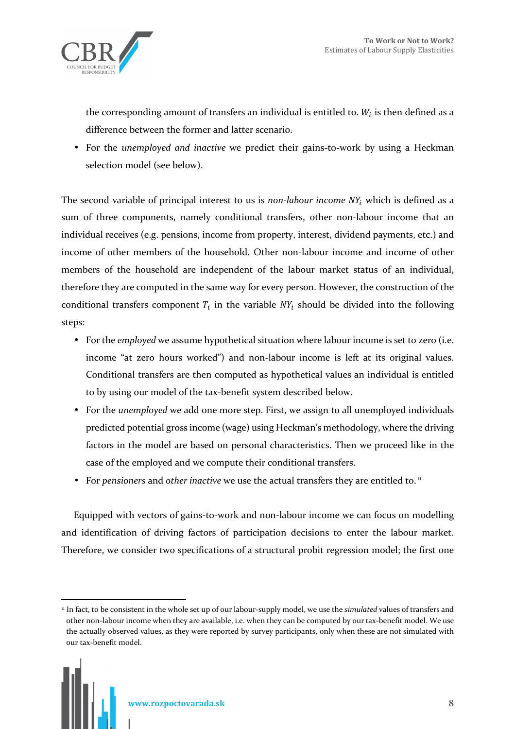

the corresponding amount of transfers an individual is entitled to.  $W_i$  is then defined as a difference between the former and latter scenario.

• For the *unemployed and inactive* we predict their gains-to-work by using a Heckman selection model (see below).

The second variable of principal interest to us is *non-labour income*  $NY_i$  which is defined as a sum of three components, namely conditional transfers, other non-labour income that an individual receives (e.g. pensions, income from property, interest, dividend payments, etc.) and income of other members of the household. Other non-labour income and income of other members of the household are independent of the labour market status of an individual, therefore they are computed in the same way for every person. However, the construction of the conditional transfers component  $T_i$  in the variable  $NY_i$  should be divided into the following steps:

- For the *employed* we assume hypothetical situation where labour income is set to zero (i.e. income "at zero hours worked") and non-labour income is left at its original values. Conditional transfers are then computed as hypothetical values an individual is entitled to by using our model of the tax-benefit system described below.
- For the *unemployed* we add one more step. First, we assign to all unemployed individuals predicted potential gross income (wage) using Heckman's methodology, where the driving factors in the model are based on personal characteristics. Then we proceed like in the case of the employed and we compute their conditional transfers.
- For *pensioners* and *other inactive* we use the actual transfers they are entitled to.<sup>11</sup>

Equipped with vectors of gains-to-work and non-labour income we can focus on modelling and identification of driving factors of participation decisions to enter the labour market. Therefore, we consider two specifications of a structural probit regression model; the first one

 $\overline{a}$ <sup>11</sup> In fact, to be consistent in the whole set up of our labour-supply model, we use the *simulated* values of transfers and other non-labour income when they are available, i.e. when they can be computed by our tax-benefit model. We use the actually observed values, as they were reported by survey participants, only when these are not simulated with our tax-benefit model.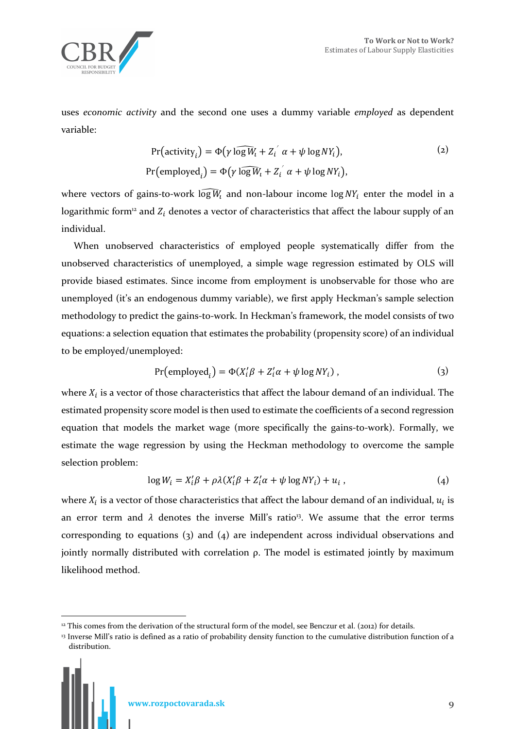

uses *economic activity* and the second one uses a dummy variable *employed* as dependent variable:

$$
Pr(\text{activity}_i) = \Phi(\gamma \log W_i + Z_i' \alpha + \psi \log N Y_i),
$$
  
(2)  

$$
Pr(\text{employed}_i) = \Phi(\gamma \log W_i + Z_i' \alpha + \psi \log N Y_i),
$$

where vectors of gains-to-work  $\widehat{\log W_i}$  and non-labour income  $\log NY_i$  enter the model in a logarithmic form<sup>12</sup> and  $Z_i$  denotes a vector of characteristics that affect the labour supply of an individual.

When unobserved characteristics of employed people systematically differ from the unobserved characteristics of unemployed, a simple wage regression estimated by OLS will provide biased estimates. Since income from employment is unobservable for those who are unemployed (it's an endogenous dummy variable), we first apply Heckman's sample selection methodology to predict the gains-to-work. In Heckman's framework, the model consists of two equations: a selection equation that estimates the probability (propensity score) of an individual to be employed/unemployed:

$$
Pr(\text{employed}_i) = \Phi(X_i'\beta + Z_i'\alpha + \psi \log NY_i), \qquad (3)
$$

where  $X_i$  is a vector of those characteristics that affect the labour demand of an individual. The estimated propensity score model is then used to estimate the coefficients of a second regression equation that models the market wage (more specifically the gains-to-work). Formally, we estimate the wage regression by using the Heckman methodology to overcome the sample selection problem:

$$
\log W_i = X_i' \beta + \rho \lambda (X_i' \beta + Z_i' \alpha + \psi \log N Y_i) + u_i , \qquad (4)
$$

where  $X_i$  is a vector of those characteristics that affect the labour demand of an individual,  $u_i$  is an error term and  $\lambda$  denotes the inverse Mill's ratio<sup>13</sup>. We assume that the error terms corresponding to equations (3) and (4) are independent across individual observations and  $j$ ointly normally distributed with correlation  $ρ$ . The model is estimated jointly by maximum likelihood method.



 $\overline{a}$ <sup>12</sup> This comes from the derivation of the structural form of the model, see Benczur et al. (2012) for details.

<sup>&</sup>lt;sup>13</sup> Inverse Mill's ratio is defined as a ratio of probability density function to the cumulative distribution function of a distribution.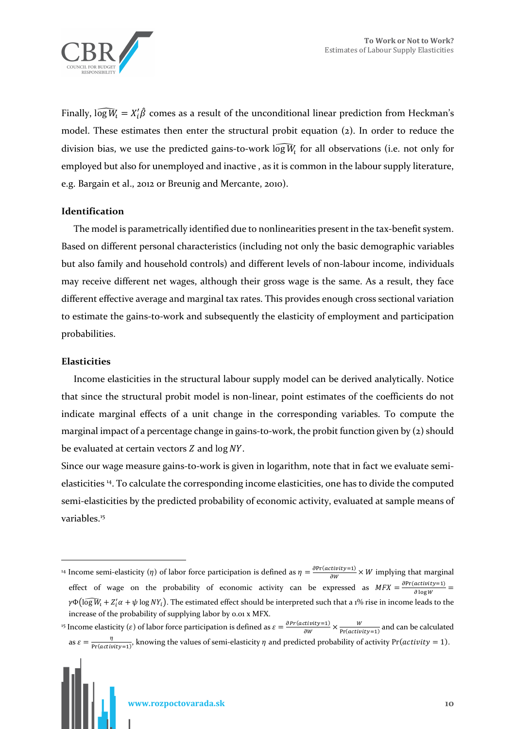

Finally,  $\widehat{\log W_i} = X'_i \hat{\beta}$  comes as a result of the unconditional linear prediction from Heckman's model. These estimates then enter the structural probit equation (2). In order to reduce the division bias, we use the predicted gains-to-work  $\widehat{\log W_t}$  for all observations (i.e. not only for employed but also for unemployed and inactive , as it is common in the labour supply literature, e.g. Bargain et al., 2012 or Breunig and Mercante, 2010).

#### **Identification**

The model is parametrically identified due to nonlinearities present in the tax-benefit system. Based on different personal characteristics (including not only the basic demographic variables but also family and household controls) and different levels of non-labour income, individuals may receive different net wages, although their gross wage is the same. As a result, they face different effective average and marginal tax rates. This provides enough cross sectional variation to estimate the gains-to-work and subsequently the elasticity of employment and participation probabilities.

#### **Elasticities**

 $\overline{a}$ 

Income elasticities in the structural labour supply model can be derived analytically. Notice that since the structural probit model is non-linear, point estimates of the coefficients do not indicate marginal effects of a unit change in the corresponding variables. To compute the marginal impact of a percentage change in gains-to-work, the probit function given by (2) should be evaluated at certain vectors  $Z$  and  $\log NY$ .

Since our wage measure gains-to-work is given in logarithm, note that in fact we evaluate semielasticities <sup>14</sup>. To calculate the corresponding income elasticities, one has to divide the computed semi-elasticities by the predicted probability of economic activity, evaluated at sample means of variables.<sup>15</sup>

<sup>&</sup>lt;sup>14</sup> Income semi-elasticity ( $\eta$ ) of labor force participation is defined as  $\eta = \frac{\partial Pr(cativity=1)}{\partial W} \times W$  implying that marginal effect of wage on the probability of economic activity can be expressed as  $MFX = \frac{\partial Pr(cativity=1)}{\partial \log W}$  $\gamma\Phi(\widehat{\log W_t}+Z_t'\alpha+\psi\log NY_t).$  The estimated effect should be interpreted such that a 1% rise in income leads to the increase of the probability of supplying labor by 0.01 x MFX.

<sup>&</sup>lt;sup>15</sup> Income elasticity ( $\varepsilon$ ) of labor force participation is defined as  $\varepsilon = \frac{\partial Pr(activity=1)}{\partial w}$  $\frac{x \text{tivity}=1}{\partial W} \times \frac{W}{\text{Pr}(active)}$  $\frac{W}{Pr(activity=1)}$  and can be calculated as  $\varepsilon = \frac{\eta}{\ln(\varepsilon \sin \theta)}$  $\frac{1}{\Pr(\text{activity}=1)}$ , knowing the values of semi-elasticity  $\eta$  and predicted probability of activity  $\Pr(\text{activity}=1)$ .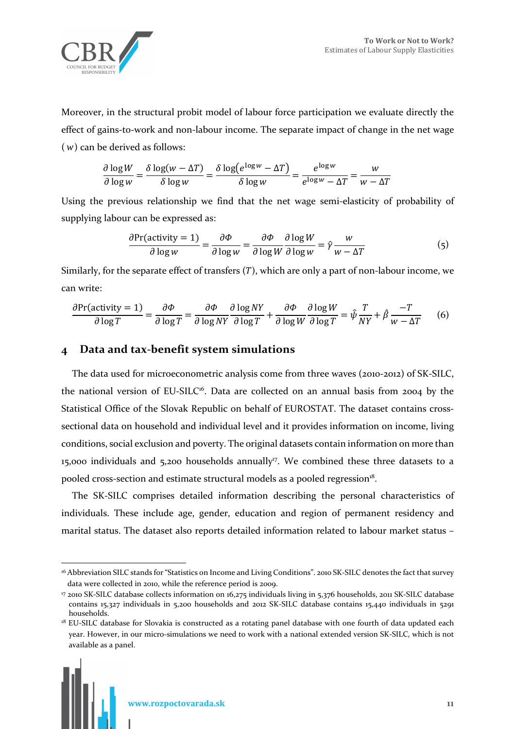

Moreover, in the structural probit model of labour force participation we evaluate directly the effect of gains-to-work and non-labour income. The separate impact of change in the net wage (*w*) can be derived as follows:

$$
\frac{\partial \log W}{\partial \log w} = \frac{\delta \log(w - \Delta T)}{\delta \log w} = \frac{\delta \log(e^{\log w} - \Delta T)}{\delta \log w} = \frac{e^{\log w}}{e^{\log w} - \Delta T} = \frac{w}{w - \Delta T}
$$

Using the previous relationship we find that the net wage semi-elasticity of probability of supplying labour can be expressed as:

$$
\frac{\partial \text{Pr}(\text{activity} = 1)}{\partial \log w} = \frac{\partial \Phi}{\partial \log w} = \frac{\partial \Phi}{\partial \log W} \frac{\partial \log W}{\partial \log w} = \hat{\gamma} \frac{w}{w - \Delta T}
$$
(5)

Similarly, for the separate effect of transfers  $(T)$ , which are only a part of non-labour income, we can write:

$$
\frac{\partial \text{Pr}(\text{activity} = 1)}{\partial \log T} = \frac{\partial \Phi}{\partial \log T} = \frac{\partial \Phi}{\partial \log NY} \frac{\partial \log NY}{\partial \log T} + \frac{\partial \Phi}{\partial \log W} \frac{\partial \log W}{\partial \log T} = \hat{\psi} \frac{T}{NY} + \hat{\beta} \frac{-T}{w - \Delta T} \tag{6}
$$

# **4 Data and tax-benefit system simulations**

The data used for microeconometric analysis come from three waves (2010-2012) of SK-SILC, the national version of EU-SILC<sup>16</sup>. Data are collected on an annual basis from 2004 by the Statistical Office of the Slovak Republic on behalf of EUROSTAT. The dataset contains crosssectional data on household and individual level and it provides information on income, living conditions, social exclusion and poverty. The original datasets contain information on more than 15,000 individuals and 5,200 households annually<sup>17</sup>. We combined these three datasets to a pooled cross-section and estimate structural models as a pooled regression<sup>18</sup>.

The SK-SILC comprises detailed information describing the personal characteristics of individuals. These include age, gender, education and region of permanent residency and marital status. The dataset also reports detailed information related to labour market status –

<sup>&</sup>lt;sup>18</sup> EU-SILC database for Slovakia is constructed as a rotating panel database with one fourth of data updated each year. However, in our micro-simulations we need to work with a national extended version SK-SILC, which is not available as a panel.



 $\overline{a}$ <sup>16</sup> Abbreviation SILC stands for "Statistics on Income and Living Conditions". 2010 SK-SILC denotes the fact that survey data were collected in 2010, while the reference period is 2009.

<sup>17</sup> 2010 SK-SILC database collects information on 16,275 individuals living in 5,376 households, 2011 SK-SILC database contains 15,327 individuals in 5,200 households and 2012 SK-SILC database contains 15,440 individuals in 5291 households.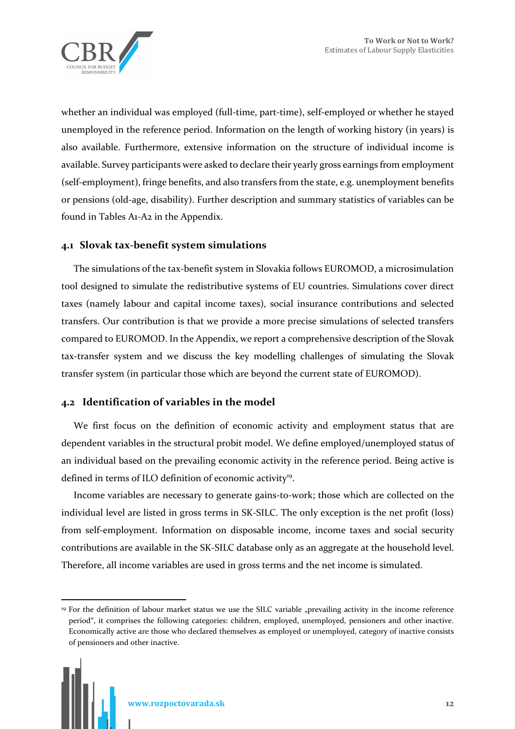

whether an individual was employed (full-time, part-time), self-employed or whether he stayed unemployed in the reference period. Information on the length of working history (in years) is also available. Furthermore, extensive information on the structure of individual income is available. Survey participants were asked to declare their yearly gross earnings from employment (self-employment), fringe benefits, and also transfers from the state, e.g. unemployment benefits or pensions (old-age, disability). Further description and summary statistics of variables can be found in Tables A1-A2 in the Appendix.

### **4.1 Slovak tax-benefit system simulations**

The simulations of the tax-benefit system in Slovakia follows EUROMOD, a microsimulation tool designed to simulate the redistributive systems of EU countries. Simulations cover direct taxes (namely labour and capital income taxes), social insurance contributions and selected transfers. Our contribution is that we provide a more precise simulations of selected transfers compared to EUROMOD. In the Appendix, we report a comprehensive description of the Slovak tax-transfer system and we discuss the key modelling challenges of simulating the Slovak transfer system (in particular those which are beyond the current state of EUROMOD).

# **4.2 Identification of variables in the model**

We first focus on the definition of economic activity and employment status that are dependent variables in the structural probit model. We define employed/unemployed status of an individual based on the prevailing economic activity in the reference period. Being active is defined in terms of ILO definition of economic activity<sup>19</sup>.

Income variables are necessary to generate gains-to-work; those which are collected on the individual level are listed in gross terms in SK-SILC. The only exception is the net profit (loss) from self-employment. Information on disposable income, income taxes and social security contributions are available in the SK-SILC database only as an aggregate at the household level. Therefore, all income variables are used in gross terms and the net income is simulated.

 $\overline{a}$ 

<sup>&</sup>lt;sup>19</sup> For the definition of labour market status we use the SILC variable "prevailing activity in the income reference period", it comprises the following categories: children, employed, unemployed, pensioners and other inactive. Economically active are those who declared themselves as employed or unemployed, category of inactive consists of pensioners and other inactive.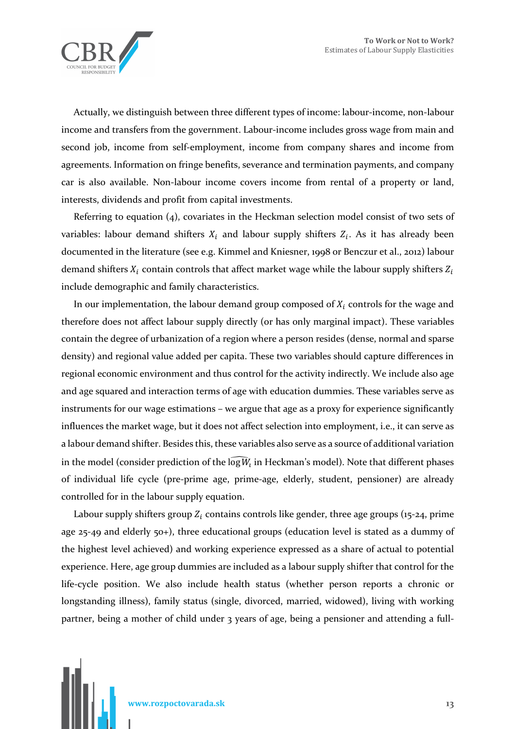

Actually, we distinguish between three different types of income: labour-income, non-labour income and transfers from the government. Labour-income includes gross wage from main and second job, income from self-employment, income from company shares and income from agreements. Information on fringe benefits, severance and termination payments, and company car is also available. Non-labour income covers income from rental of a property or land, interests, dividends and profit from capital investments.

Referring to equation (4), covariates in the Heckman selection model consist of two sets of variables: labour demand shifters  $X_i$  and labour supply shifters  $Z_i$ . As it has already been documented in the literature (see e.g. Kimmel and Kniesner, 1998 or Benczur et al., 2012) labour demand shifters  $X_i$  contain controls that affect market wage while the labour supply shifters  $Z_i$ include demographic and family characteristics.

In our implementation, the labour demand group composed of  $X_i$  controls for the wage and therefore does not affect labour supply directly (or has only marginal impact). These variables contain the degree of urbanization of a region where a person resides (dense, normal and sparse density) and regional value added per capita. These two variables should capture differences in regional economic environment and thus control for the activity indirectly. We include also age and age squared and interaction terms of age with education dummies. These variables serve as instruments for our wage estimations – we argue that age as a proxy for experience significantly influences the market wage, but it does not affect selection into employment, i.e., it can serve as a labour demand shifter. Besides this, these variables also serve as a source of additional variation in the model (consider prediction of the log $\widehat{W}_l$  in Heckman's model). Note that different phases of individual life cycle (pre-prime age, prime-age, elderly, student, pensioner) are already controlled for in the labour supply equation.

Labour supply shifters group  $Z_i$  contains controls like gender, three age groups (15-24, prime age 25-49 and elderly 50+), three educational groups (education level is stated as a dummy of the highest level achieved) and working experience expressed as a share of actual to potential experience. Here, age group dummies are included as a labour supply shifter that control for the life-cycle position. We also include health status (whether person reports a chronic or longstanding illness), family status (single, divorced, married, widowed), living with working partner, being a mother of child under 3 years of age, being a pensioner and attending a full-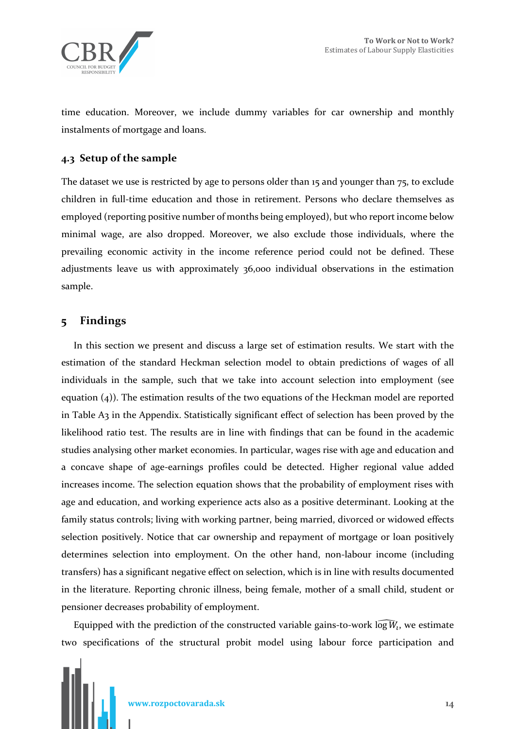

time education. Moreover, we include dummy variables for car ownership and monthly instalments of mortgage and loans.

### **4.3 Setup of the sample**

The dataset we use is restricted by age to persons older than 15 and younger than 75, to exclude children in full-time education and those in retirement. Persons who declare themselves as employed (reporting positive number of months being employed), but who report income below minimal wage, are also dropped. Moreover, we also exclude those individuals, where the prevailing economic activity in the income reference period could not be defined. These adjustments leave us with approximately 36,000 individual observations in the estimation sample.

# **5 Findings**

In this section we present and discuss a large set of estimation results. We start with the estimation of the standard Heckman selection model to obtain predictions of wages of all individuals in the sample, such that we take into account selection into employment (see equation (4)). The estimation results of the two equations of the Heckman model are reported in Table A3 in the Appendix. Statistically significant effect of selection has been proved by the likelihood ratio test. The results are in line with findings that can be found in the academic studies analysing other market economies. In particular, wages rise with age and education and a concave shape of age-earnings profiles could be detected. Higher regional value added increases income. The selection equation shows that the probability of employment rises with age and education, and working experience acts also as a positive determinant. Looking at the family status controls; living with working partner, being married, divorced or widowed effects selection positively. Notice that car ownership and repayment of mortgage or loan positively determines selection into employment. On the other hand, non-labour income (including transfers) has a significant negative effect on selection, which is in line with results documented in the literature. Reporting chronic illness, being female, mother of a small child, student or pensioner decreases probability of employment.

Equipped with the prediction of the constructed variable gains-to-work  $\widehat{\log W_i}$ , we estimate two specifications of the structural probit model using labour force participation and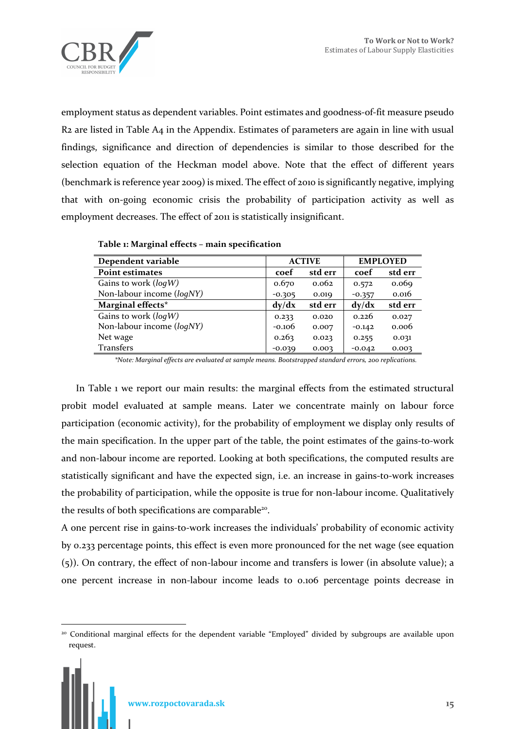

employment status as dependent variables. Point estimates and goodness-of-fit measure pseudo R2 are listed in Table A4 in the Appendix. Estimates of parameters are again in line with usual findings, significance and direction of dependencies is similar to those described for the selection equation of the Heckman model above. Note that the effect of different years (benchmark is reference year 2009) is mixed. The effect of 2010 is significantly negative, implying that with on-going economic crisis the probability of participation activity as well as employment decreases. The effect of 2011 is statistically insignificant.

| Dependent variable        | <b>ACTIVE</b> |         |          | <b>EMPLOYED</b> |  |
|---------------------------|---------------|---------|----------|-----------------|--|
| <b>Point estimates</b>    | coef          | std err | coef     | std err         |  |
| Gains to work $(log W)$   | 0.670         | 0.062   | 0.572    | 0.069           |  |
| Non-labour income (loqNY) | $-0.305$      | 0.019   | $-0.357$ | 0.016           |  |
| Marginal effects*         | dy/dx         | std err | dy/dx    | std err         |  |
| Gains to work $(log W)$   | 0.233         | 0.020   | 0.226    | 0.027           |  |
| Non-labour income (loqNY) | $-0.106$      | 0.007   | $-0.142$ | 0.006           |  |
| Net wage                  | 0.263         | 0.023   | 0.255    | 0.031           |  |
| <b>Transfers</b>          | $-0.039$      | 0.003   | $-0.042$ | 0.003           |  |

**Table 1: Marginal effects – main specification** 

*\*Note: Marginal effects are evaluated at sample means. Bootstrapped standard errors, 200 replications.* 

 In Table 1 we report our main results: the marginal effects from the estimated structural probit model evaluated at sample means. Later we concentrate mainly on labour force participation (economic activity), for the probability of employment we display only results of the main specification. In the upper part of the table, the point estimates of the gains-to-work and non-labour income are reported. Looking at both specifications, the computed results are statistically significant and have the expected sign, i.e. an increase in gains-to-work increases the probability of participation, while the opposite is true for non-labour income. Qualitatively the results of both specifications are comparable<sup>20</sup>.

A one percent rise in gains-to-work increases the individuals' probability of economic activity by 0.233 percentage points, this effect is even more pronounced for the net wage (see equation (5)). On contrary, the effect of non-labour income and transfers is lower (in absolute value); a one percent increase in non-labour income leads to 0.106 percentage points decrease in

 $\overline{a}$ 

<sup>20</sup> Conditional marginal effects for the dependent variable "Employed" divided by subgroups are available upon request.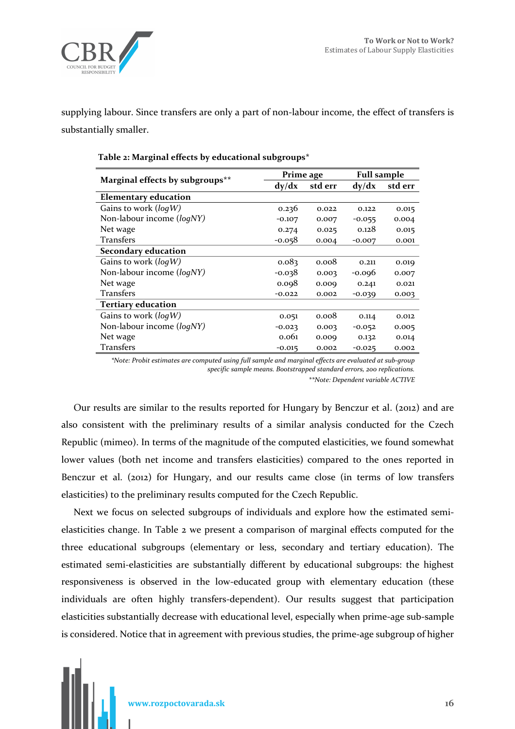

supplying labour. Since transfers are only a part of non-labour income, the effect of transfers is substantially smaller.

|                                 | Prime age |         | <b>Full sample</b> |         |  |
|---------------------------------|-----------|---------|--------------------|---------|--|
| Marginal effects by subgroups** | dy/dx     | std err | dy/dx              | std err |  |
| <b>Elementary education</b>     |           |         |                    |         |  |
| Gains to work $(log W)$         | 0.236     | 0.022   | 0.122              | 0.015   |  |
| Non-labour income (loqNY)       | $-0.107$  | 0.007   | $-0.055$           | 0.004   |  |
| Net wage                        | 0.274     | 0.025   | 0.128              | 0.015   |  |
| Transfers                       | $-0.058$  | 0.004   | $-0.007$           | 0.001   |  |
| <b>Secondary education</b>      |           |         |                    |         |  |
| Gains to work $(log W)$         | 0.083     | 0.008   | 0.211              | 0.019   |  |
| Non-labour income (loqNY)       | $-0.038$  | 0.003   | $-0.096$           | 0.007   |  |
| Net wage                        | 0.098     | 0.009   | 0.241              | 0.021   |  |
| Transfers                       | $-0.022$  | 0.002   | $-0.039$           | 0.003   |  |
| <b>Tertiary education</b>       |           |         |                    |         |  |
| Gains to work $(log W)$         | 0.051     | 0.008   | 0.114              | 0.012   |  |
| Non-labour income (logNY)       | $-0.023$  | 0.003   | $-0.052$           | 0.005   |  |
| Net wage                        | 0.061     | 0.009   | 0.132              | 0.014   |  |
| <b>Transfers</b>                | $-0.015$  | 0.002   | $-0.025$           | 0.002   |  |

#### **Table 2: Marginal effects by educational subgroups\***

*\*Note: Probit estimates are computed using full sample and marginal effects are evaluated at sub-group specific sample means. Bootstrapped standard errors, 200 replications.* 

*\*\*Note: Dependent variable ACTIVE* 

Our results are similar to the results reported for Hungary by Benczur et al. (2012) and are also consistent with the preliminary results of a similar analysis conducted for the Czech Republic (mimeo). In terms of the magnitude of the computed elasticities, we found somewhat lower values (both net income and transfers elasticities) compared to the ones reported in Benczur et al. (2012) for Hungary, and our results came close (in terms of low transfers elasticities) to the preliminary results computed for the Czech Republic.

Next we focus on selected subgroups of individuals and explore how the estimated semielasticities change. In Table 2 we present a comparison of marginal effects computed for the three educational subgroups (elementary or less, secondary and tertiary education). The estimated semi-elasticities are substantially different by educational subgroups: the highest responsiveness is observed in the low-educated group with elementary education (these individuals are often highly transfers-dependent). Our results suggest that participation elasticities substantially decrease with educational level, especially when prime-age sub-sample is considered. Notice that in agreement with previous studies, the prime-age subgroup of higher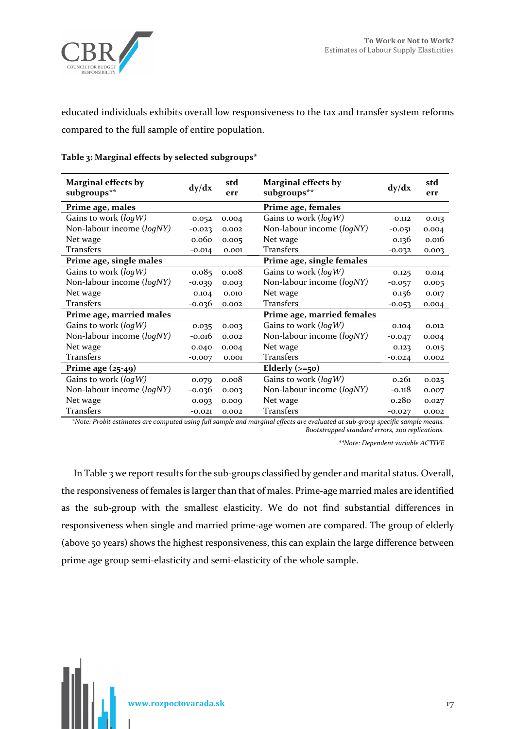

educated individuals exhibits overall low responsiveness to the tax and transfer system reforms compared to the full sample of entire population.

| <b>Marginal effects by</b><br>subgroups** | dy/dx    | std<br>err | <b>Marginal effects by</b><br>subgroups** | dy/dx    | std<br>err |
|-------------------------------------------|----------|------------|-------------------------------------------|----------|------------|
| Prime age, males                          |          |            | Prime age, females                        |          |            |
| Gains to work $(log W)$                   | 0.052    | 0.004      | Gains to work ( $log W$ )                 | 0.112    | 0.013      |
| Non-labour income (logNY)                 | $-0.023$ | 0.002      | Non-labour income (logNY)                 | $-0.051$ | 0.004      |
| Net wage                                  | 0.060    | 0.005      | Net wage                                  | 0.136    | 0.016      |
| <b>Transfers</b>                          | $-0.014$ | 0.001      | <b>Transfers</b>                          | $-0.032$ | 0.003      |
| Prime age, single males                   |          |            | Prime age, single females                 |          |            |
| Gains to work ( $log W$ )                 | 0.085    | 0.008      | Gains to work (logW)                      | 0.125    | 0.014      |
| Non-labour income (logNY)                 | $-0.039$ | 0.003      | Non-labour income (logNY)                 | $-0.057$ | 0.005      |
| Net wage                                  | 0.104    | 0.010      | Net wage                                  | 0.156    | 0.017      |
| <b>Transfers</b>                          | $-0.036$ | 0.002      | <b>Transfers</b>                          | $-0.053$ | 0.004      |
| Prime age, married males                  |          |            | Prime age, married females                |          |            |
| Gains to work ( $log W$ )                 | 0.035    | 0.003      | Gains to work ( $log W$ )                 | 0.104    | 0.012      |
| Non-labour income (logNY)                 | $-0.016$ | 0.002      | Non-labour income (logNY)                 | $-0.047$ | 0.004      |
| Net wage                                  | 0.040    | 0.004      | Net wage                                  | 0.123    | 0.015      |
| Transfers                                 | $-0.007$ | 0.001      | <b>Transfers</b>                          | $-0.024$ | 0.002      |
| Prime age $(25-49)$                       |          |            | Elderly $(>=50)$                          |          |            |
| Gains to work $(log W)$                   | 0.079    | 0.008      | Gains to work ( $log W$ )                 | 0.261    | 0.025      |
| Non-labour income (logNY)                 | $-0.036$ | 0.003      | Non-labour income (logNY)                 | $-0.118$ | 0.007      |
| Net wage                                  | 0.093    | 0.009      | Net wage                                  | 0.280    | 0.027      |
| <b>Transfers</b>                          | $-0.021$ | 0.002      | <b>Transfers</b>                          | $-0.027$ | 0.002      |

#### **Table 3: Marginal effects by selected subgroups\***

*\*Note: Probit estimates are computed using full sample and marginal effects are evaluated at sub-group specific sample means. Bootstrapped standard errors, 200 replications.* 

*\*\*Note: Dependent variable ACTIVE*

In Table 3 we report results for the sub-groups classified by gender and marital status. Overall, the responsiveness of females is larger than that of males. Prime-age married males are identified as the sub-group with the smallest elasticity. We do not find substantial differences in responsiveness when single and married prime-age women are compared. The group of elderly (above 50 years) shows the highest responsiveness, this can explain the large difference between prime age group semi-elasticity and semi-elasticity of the whole sample.

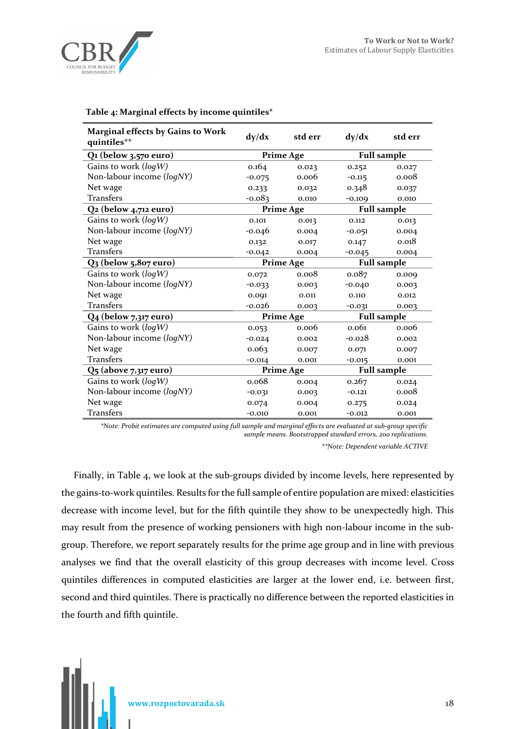

| <b>Marginal effects by Gains to Work</b><br>quintiles** | dy/dx                                  | std err          | dy/dx    | std err            |
|---------------------------------------------------------|----------------------------------------|------------------|----------|--------------------|
| $Q_1$ (below 3,570 euro)                                | <b>Full sample</b><br><b>Prime Age</b> |                  |          |                    |
| Gains to work $(log W)$                                 | 0.164                                  | 0.023            | 0.252    | 0.027              |
| Non-labour income (logNY)                               | $-0.075$                               | 0.006            | $-0.115$ | 0.008              |
| Net wage                                                | 0.233                                  | 0.032            | 0.348    | 0.037              |
| <b>Transfers</b>                                        | $-0.083$                               | 0.010            | $-0.109$ | 0.010              |
| $Q2$ (below 4,712 euro)                                 |                                        | <b>Prime Age</b> |          | <b>Full sample</b> |
| Gains to work $(log W)$                                 | 0.101                                  | 0.013            | 0.112    | 0.013              |
| Non-labour income (logNY)                               | $-0.046$                               | 0.004            | $-0.051$ | 0.004              |
| Net wage                                                | 0.132                                  | 0.017            | 0.147    | 0.018              |
| <b>Transfers</b>                                        | $-0.042$                               | 0.004            | $-0.045$ | 0.004              |
| Q3 (below 5,807 euro)                                   | <b>Full sample</b><br><b>Prime Age</b> |                  |          |                    |
| Gains to work $(log W)$                                 | 0.072                                  | 0.008            | 0.087    | 0.009              |
| Non-labour income (logNY)                               | $-0.033$                               | 0.003            | $-0.040$ | 0.003              |
| Net wage                                                | 0.091                                  | 0.011            | 0.110    | 0.012              |
| <b>Transfers</b>                                        | -0.026                                 | 0.003            | $-0.031$ | 0.003              |
| Q <sub>4</sub> (below 7,317 euro)                       |                                        | <b>Prime Age</b> |          | <b>Full sample</b> |
| Gains to work $(log W)$                                 | 0.053                                  | 0.006            | 0.061    | 0.006              |
| Non-labour income (logNY)                               | $-0.024$                               | 0.002            | $-0.028$ | 0.002              |
| Net wage                                                | 0.063                                  | 0.007            | 0.071    | 0.007              |
| <b>Transfers</b>                                        | $-0.014$                               | 0.001            | $-0.015$ | 0.001              |
| Q5 (above 7,317 euro)                                   | <b>Prime Age</b>                       |                  |          | <b>Full sample</b> |
| Gains to work $(log W)$                                 | 0.068                                  | 0.004            | 0.267    | 0.024              |
| Non-labour income (logNY)                               | $-0.031$                               | 0.003            | $-0.121$ | 0.008              |
| Net wage                                                | 0.074                                  | 0.004            | 0.275    | 0.024              |
| <b>Transfers</b>                                        | $-0.010$                               | 0.001            | $-0.012$ | 0.001              |

#### **Table 4: Marginal effects by income quintiles\***

*\*Note: Probit estimates are computed using full sample and marginal effects are evaluated at sub-group specific sample means. Bootstrapped standard errors, 200 replications.* 

*\*\*Note: Dependent variable ACTIVE* 

Finally, in Table 4, we look at the sub-groups divided by income levels, here represented by the gains-to-work quintiles. Results for the full sample of entire population are mixed: elasticities decrease with income level, but for the fifth quintile they show to be unexpectedly high. This may result from the presence of working pensioners with high non-labour income in the subgroup. Therefore, we report separately results for the prime age group and in line with previous analyses we find that the overall elasticity of this group decreases with income level. Cross quintiles differences in computed elasticities are larger at the lower end, i.e. between first, second and third quintiles. There is practically no difference between the reported elasticities in the fourth and fifth quintile.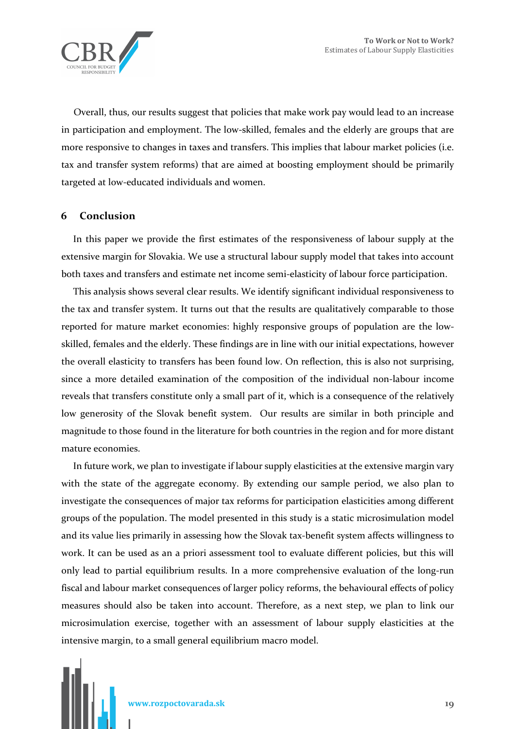

Overall, thus, our results suggest that policies that make work pay would lead to an increase in participation and employment. The low-skilled, females and the elderly are groups that are more responsive to changes in taxes and transfers. This implies that labour market policies (i.e. tax and transfer system reforms) that are aimed at boosting employment should be primarily targeted at low-educated individuals and women.

#### **6 Conclusion**

In this paper we provide the first estimates of the responsiveness of labour supply at the extensive margin for Slovakia. We use a structural labour supply model that takes into account both taxes and transfers and estimate net income semi-elasticity of labour force participation.

This analysis shows several clear results. We identify significant individual responsiveness to the tax and transfer system. It turns out that the results are qualitatively comparable to those reported for mature market economies: highly responsive groups of population are the lowskilled, females and the elderly. These findings are in line with our initial expectations, however the overall elasticity to transfers has been found low. On reflection, this is also not surprising, since a more detailed examination of the composition of the individual non-labour income reveals that transfers constitute only a small part of it, which is a consequence of the relatively low generosity of the Slovak benefit system. Our results are similar in both principle and magnitude to those found in the literature for both countries in the region and for more distant mature economies.

In future work, we plan to investigate if labour supply elasticities at the extensive margin vary with the state of the aggregate economy. By extending our sample period, we also plan to investigate the consequences of major tax reforms for participation elasticities among different groups of the population. The model presented in this study is a static microsimulation model and its value lies primarily in assessing how the Slovak tax-benefit system affects willingness to work. It can be used as an a priori assessment tool to evaluate different policies, but this will only lead to partial equilibrium results. In a more comprehensive evaluation of the long-run fiscal and labour market consequences of larger policy reforms, the behavioural effects of policy measures should also be taken into account. Therefore, as a next step, we plan to link our microsimulation exercise, together with an assessment of labour supply elasticities at the intensive margin, to a small general equilibrium macro model.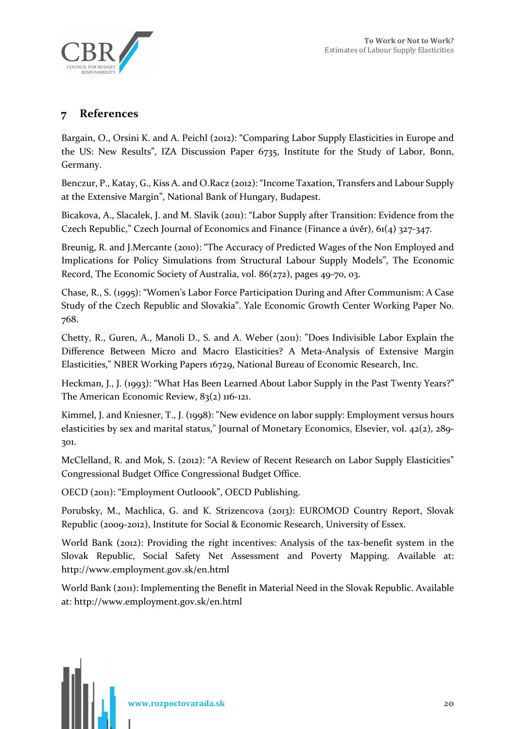

# **7 References**

Bargain, O., Orsini K. and A. Peichl (2012): "Comparing Labor Supply Elasticities in Europe and the US: New Results", IZA Discussion Paper 6735, Institute for the Study of Labor, Bonn, Germany.

Benczur, P., Katay, G., Kiss A. and O.Racz (2012): "Income Taxation, Transfers and Labour Supply at the Extensive Margin", National Bank of Hungary, Budapest.

Bicakova, A., Slacalek, J. and M. Slavik (2011): "Labor Supply after Transition: Evidence from the Czech Republic," Czech Journal of Economics and Finance (Finance a úvěr), 61(4) 327-347.

Breunig, R. and J.Mercante (2010): "The Accuracy of Predicted Wages of the Non Employed and Implications for Policy Simulations from Structural Labour Supply Models", The Economic Record, The Economic Society of Australia, vol. 86(272), pages 49-70, 03.

Chase, R., S. (1995): "Women's Labor Force Participation During and After Communism: A Case Study of the Czech Republic and Slovakia". Yale Economic Growth Center Working Paper No. 768.

Chetty, R., Guren, A., Manoli D., S. and A. Weber (2011): "Does Indivisible Labor Explain the Difference Between Micro and Macro Elasticities? A Meta-Analysis of Extensive Margin Elasticities," NBER Working Papers 16729, National Bureau of Economic Research, Inc.

Heckman, J., J. (1993): "What Has Been Learned About Labor Supply in the Past Twenty Years?" The American Economic Review, 83(2) 116-121.

Kimmel, J. and Kniesner, T., J. (1998): "New evidence on labor supply: Employment versus hours elasticities by sex and marital status," Journal of Monetary Economics, Elsevier, vol. 42(2), 289- 301.

McClelland, R. and Mok, S. (2012): "A Review of Recent Research on Labor Supply Elasticities" Congressional Budget Office Congressional Budget Office.

OECD (2011): "Employment Outloook", OECD Publishing.

Porubsky, M., Machlica, G. and K. Strizencova (2013): EUROMOD Country Report, Slovak Republic (2009-2012), Institute for Social & Economic Research, University of Essex.

World Bank (2012): Providing the right incentives: Analysis of the tax-benefit system in the Slovak Republic, Social Safety Net Assessment and Poverty Mapping. Available at: http://www.employment.gov.sk/en.html

World Bank (2011): Implementing the Benefit in Material Need in the Slovak Republic. Available at: http://www.employment.gov.sk/en.html

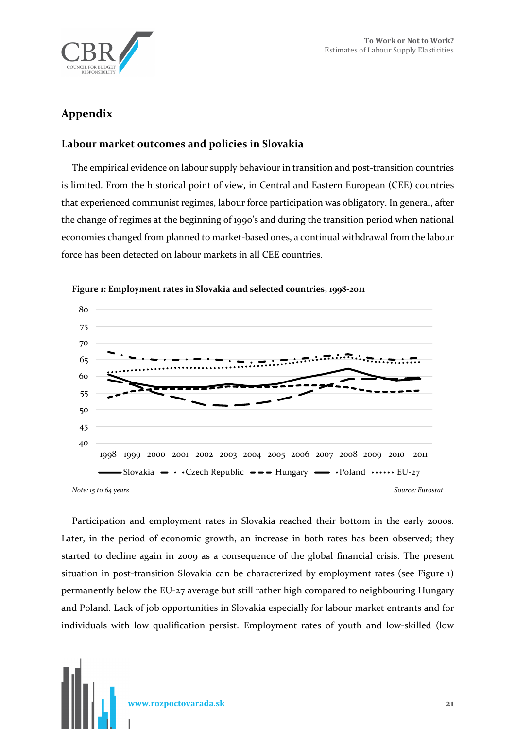

# **Appendix**

# **Labour market outcomes and policies in Slovakia**

The empirical evidence on labour supply behaviour in transition and post-transition countries is limited. From the historical point of view, in Central and Eastern European (CEE) countries that experienced communist regimes, labour force participation was obligatory. In general, after the change of regimes at the beginning of 1990's and during the transition period when national economies changed from planned to market-based ones, a continual withdrawal from the labour force has been detected on labour markets in all CEE countries.



#### **Figure 1: Employment rates in Slovakia and selected countries, 1998-2011**

Participation and employment rates in Slovakia reached their bottom in the early 2000s. Later, in the period of economic growth, an increase in both rates has been observed; they started to decline again in 2009 as a consequence of the global financial crisis. The present situation in post-transition Slovakia can be characterized by employment rates (see Figure 1) permanently below the EU-27 average but still rather high compared to neighbouring Hungary and Poland. Lack of job opportunities in Slovakia especially for labour market entrants and for individuals with low qualification persist. Employment rates of youth and low-skilled (low

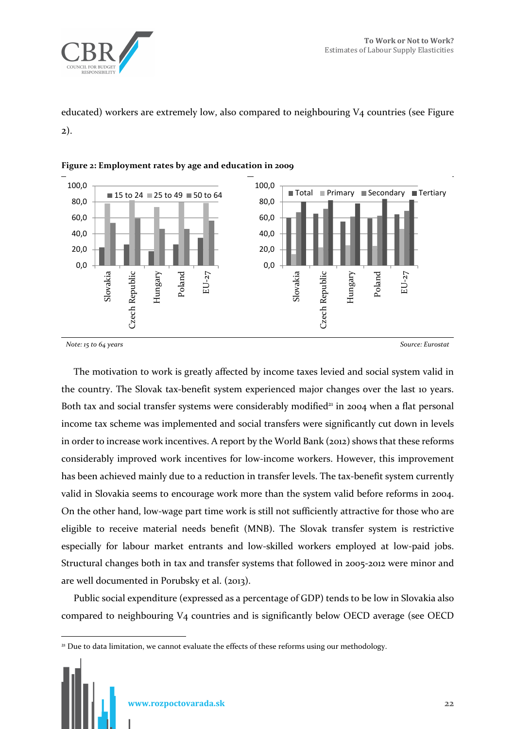

educated) workers are extremely low, also compared to neighbouring V4 countries (see Figure 2).





*Note: 15 to 64 years Source: Eurostat*

 $\overline{a}$ 

The motivation to work is greatly affected by income taxes levied and social system valid in the country. The Slovak tax-benefit system experienced major changes over the last 10 years. Both tax and social transfer systems were considerably modified<sup>21</sup> in 2004 when a flat personal income tax scheme was implemented and social transfers were significantly cut down in levels in order to increase work incentives. A report by the World Bank (2012) shows that these reforms considerably improved work incentives for low-income workers. However, this improvement has been achieved mainly due to a reduction in transfer levels. The tax-benefit system currently valid in Slovakia seems to encourage work more than the system valid before reforms in 2004. On the other hand, low-wage part time work is still not sufficiently attractive for those who are eligible to receive material needs benefit (MNB). The Slovak transfer system is restrictive especially for labour market entrants and low-skilled workers employed at low-paid jobs. Structural changes both in tax and transfer systems that followed in 2005-2012 were minor and are well documented in Porubsky et al. (2013).

Public social expenditure (expressed as a percentage of GDP) tends to be low in Slovakia also compared to neighbouring V4 countries and is significantly below OECD average (see OECD

<sup>&</sup>lt;sup>21</sup> Due to data limitation, we cannot evaluate the effects of these reforms using our methodology.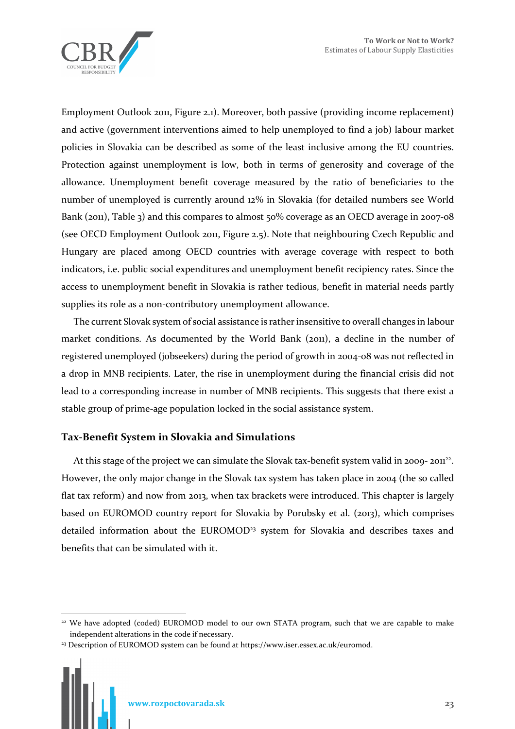

Employment Outlook 2011, Figure 2.1). Moreover, both passive (providing income replacement) and active (government interventions aimed to help unemployed to find a job) labour market policies in Slovakia can be described as some of the least inclusive among the EU countries. Protection against unemployment is low, both in terms of generosity and coverage of the allowance. Unemployment benefit coverage measured by the ratio of beneficiaries to the number of unemployed is currently around 12% in Slovakia (for detailed numbers see World Bank (2011), Table 3) and this compares to almost 50% coverage as an OECD average in 2007-08 (see OECD Employment Outlook 2011, Figure 2.5). Note that neighbouring Czech Republic and Hungary are placed among OECD countries with average coverage with respect to both indicators, i.e. public social expenditures and unemployment benefit recipiency rates. Since the access to unemployment benefit in Slovakia is rather tedious, benefit in material needs partly supplies its role as a non-contributory unemployment allowance.

The current Slovak system of social assistance is rather insensitive to overall changes in labour market conditions. As documented by the World Bank (2011), a decline in the number of registered unemployed (jobseekers) during the period of growth in 2004-08 was not reflected in a drop in MNB recipients. Later, the rise in unemployment during the financial crisis did not lead to a corresponding increase in number of MNB recipients. This suggests that there exist a stable group of prime-age population locked in the social assistance system.

# **Tax-Benefit System in Slovakia and Simulations**

At this stage of the project we can simulate the Slovak tax-benefit system valid in 2009-2011<sup>22</sup>. However, the only major change in the Slovak tax system has taken place in 2004 (the so called flat tax reform) and now from 2013, when tax brackets were introduced. This chapter is largely based on EUROMOD country report for Slovakia by Porubsky et al. (2013), which comprises detailed information about the EUROMOD<sup>23</sup> system for Slovakia and describes taxes and benefits that can be simulated with it.

 $\overline{a}$ 

<sup>&</sup>lt;sup>22</sup> We have adopted (coded) EUROMOD model to our own STATA program, such that we are capable to make independent alterations in the code if necessary.

<sup>23</sup> Description of EUROMOD system can be found at https://www.iser.essex.ac.uk/euromod.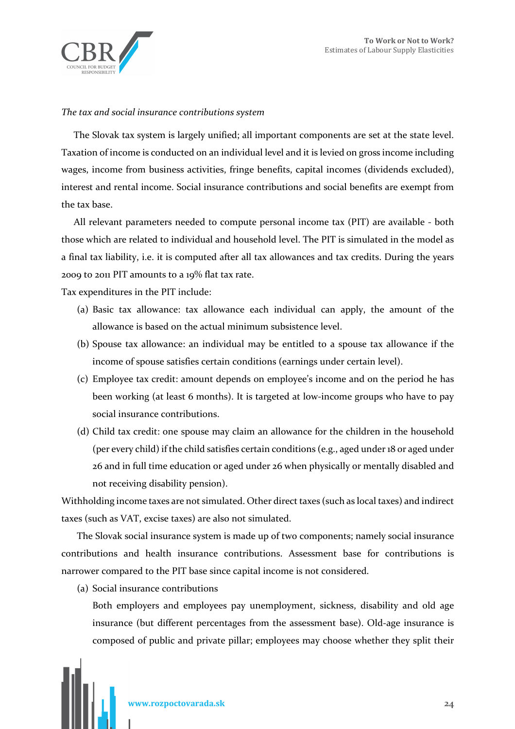

#### *The tax and social insurance contributions system*

The Slovak tax system is largely unified; all important components are set at the state level. Taxation of income is conducted on an individual level and it is levied on gross income including wages, income from business activities, fringe benefits, capital incomes (dividends excluded), interest and rental income. Social insurance contributions and social benefits are exempt from the tax base.

All relevant parameters needed to compute personal income tax (PIT) are available - both those which are related to individual and household level. The PIT is simulated in the model as a final tax liability, i.e. it is computed after all tax allowances and tax credits. During the years 2009 to 2011 PIT amounts to a 19% flat tax rate.

Tax expenditures in the PIT include:

- (a) Basic tax allowance: tax allowance each individual can apply, the amount of the allowance is based on the actual minimum subsistence level.
- (b) Spouse tax allowance: an individual may be entitled to a spouse tax allowance if the income of spouse satisfies certain conditions (earnings under certain level).
- (c) Employee tax credit: amount depends on employee's income and on the period he has been working (at least 6 months). It is targeted at low-income groups who have to pay social insurance contributions.
- (d) Child tax credit: one spouse may claim an allowance for the children in the household (per every child) if the child satisfies certain conditions (e.g., aged under 18 or aged under 26 and in full time education or aged under 26 when physically or mentally disabled and not receiving disability pension).

Withholding income taxes are not simulated. Other direct taxes (such as local taxes) and indirect taxes (such as VAT, excise taxes) are also not simulated.

The Slovak social insurance system is made up of two components; namely social insurance contributions and health insurance contributions. Assessment base for contributions is narrower compared to the PIT base since capital income is not considered.

(a) Social insurance contributions

Both employers and employees pay unemployment, sickness, disability and old age insurance (but different percentages from the assessment base). Old-age insurance is composed of public and private pillar; employees may choose whether they split their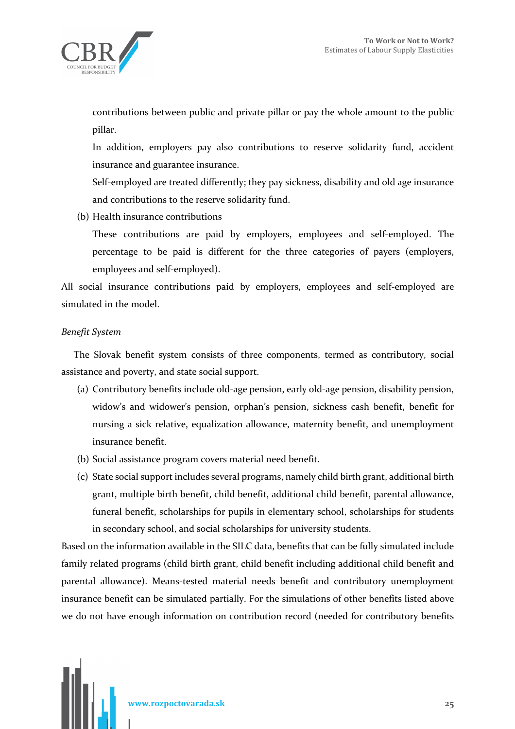

contributions between public and private pillar or pay the whole amount to the public pillar.

In addition, employers pay also contributions to reserve solidarity fund, accident insurance and guarantee insurance.

Self-employed are treated differently; they pay sickness, disability and old age insurance and contributions to the reserve solidarity fund.

(b) Health insurance contributions

These contributions are paid by employers, employees and self-employed. The percentage to be paid is different for the three categories of payers (employers, employees and self-employed).

All social insurance contributions paid by employers, employees and self-employed are simulated in the model.

### *Benefit System*

The Slovak benefit system consists of three components, termed as contributory, social assistance and poverty, and state social support.

- (a) Contributory benefits include old-age pension, early old-age pension, disability pension, widow's and widower's pension, orphan's pension, sickness cash benefit, benefit for nursing a sick relative, equalization allowance, maternity benefit, and unemployment insurance benefit.
- (b) Social assistance program covers material need benefit.
- (c) State social support includes several programs, namely child birth grant, additional birth grant, multiple birth benefit, child benefit, additional child benefit, parental allowance, funeral benefit, scholarships for pupils in elementary school, scholarships for students in secondary school, and social scholarships for university students.

Based on the information available in the SILC data, benefits that can be fully simulated include family related programs (child birth grant, child benefit including additional child benefit and parental allowance). Means-tested material needs benefit and contributory unemployment insurance benefit can be simulated partially. For the simulations of other benefits listed above we do not have enough information on contribution record (needed for contributory benefits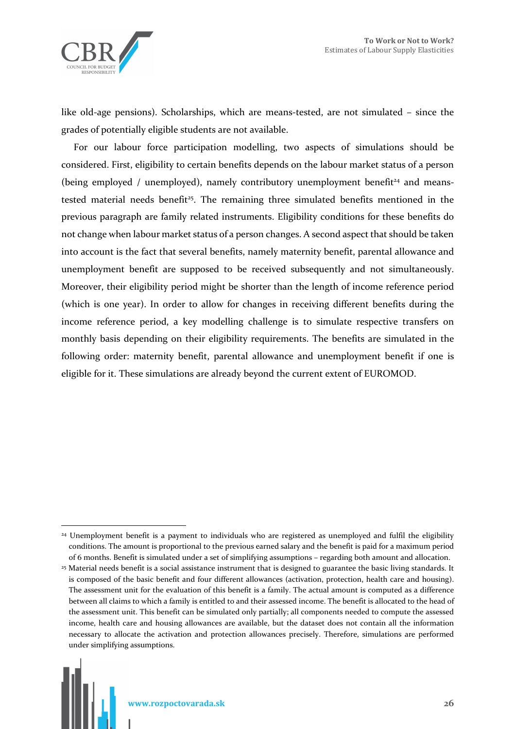like old-age pensions). Scholarships, which are means-tested, are not simulated – since the grades of potentially eligible students are not available.

For our labour force participation modelling, two aspects of simulations should be considered. First, eligibility to certain benefits depends on the labour market status of a person (being employed / unemployed), namely contributory unemployment benefit<sup>24</sup> and meanstested material needs benefit<sup>25</sup>. The remaining three simulated benefits mentioned in the previous paragraph are family related instruments. Eligibility conditions for these benefits do not change when labour market status of a person changes. A second aspect that should be taken into account is the fact that several benefits, namely maternity benefit, parental allowance and unemployment benefit are supposed to be received subsequently and not simultaneously. Moreover, their eligibility period might be shorter than the length of income reference period (which is one year). In order to allow for changes in receiving different benefits during the income reference period, a key modelling challenge is to simulate respective transfers on monthly basis depending on their eligibility requirements. The benefits are simulated in the following order: maternity benefit, parental allowance and unemployment benefit if one is eligible for it. These simulations are already beyond the current extent of EUROMOD.

 $\overline{a}$ <sup>24</sup> Unemployment benefit is a payment to individuals who are registered as unemployed and fulfil the eligibility conditions. The amount is proportional to the previous earned salary and the benefit is paid for a maximum period of 6 months. Benefit is simulated under a set of simplifying assumptions – regarding both amount and allocation.

<sup>25</sup> Material needs benefit is a social assistance instrument that is designed to guarantee the basic living standards. It is composed of the basic benefit and four different allowances (activation, protection, health care and housing). The assessment unit for the evaluation of this benefit is a family. The actual amount is computed as a difference between all claims to which a family is entitled to and their assessed income. The benefit is allocated to the head of the assessment unit. This benefit can be simulated only partially; all components needed to compute the assessed income, health care and housing allowances are available, but the dataset does not contain all the information necessary to allocate the activation and protection allowances precisely. Therefore, simulations are performed under simplifying assumptions.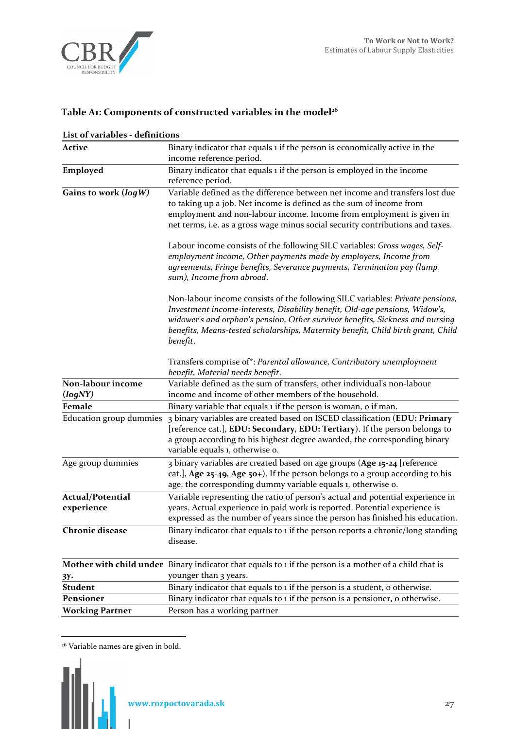

# **Table A1: Components of constructed variables in the model<sup>26</sup>**

| List of variables - definitions       |                                                                                                                                                                                                                                                                                                                                               |
|---------------------------------------|-----------------------------------------------------------------------------------------------------------------------------------------------------------------------------------------------------------------------------------------------------------------------------------------------------------------------------------------------|
| Active                                | Binary indicator that equals 1 if the person is economically active in the<br>income reference period.                                                                                                                                                                                                                                        |
| Employed                              | Binary indicator that equals 1 if the person is employed in the income<br>reference period.                                                                                                                                                                                                                                                   |
| Gains to work $(log W)$               | Variable defined as the difference between net income and transfers lost due<br>to taking up a job. Net income is defined as the sum of income from<br>employment and non-labour income. Income from employment is given in<br>net terms, i.e. as a gross wage minus social security contributions and taxes.                                 |
|                                       | Labour income consists of the following SILC variables: Gross wages, Self-<br>employment income, Other payments made by employers, Income from<br>agreements, Fringe benefits, Severance payments, Termination pay (lump<br>sum), Income from abroad.                                                                                         |
|                                       | Non-labour income consists of the following SILC variables: Private pensions,<br>Investment income-interests, Disability benefit, Old-age pensions, Widow's,<br>widower's and orphan's pension, Other survivor benefits, Sickness and nursing<br>benefits, Means-tested scholarships, Maternity benefit, Child birth grant, Child<br>benefit. |
|                                       | Transfers comprise of*: Parental allowance, Contributory unemployment<br>benefit, Material needs benefit.                                                                                                                                                                                                                                     |
| Non-labour income<br>(logNY)          | Variable defined as the sum of transfers, other individual's non-labour<br>income and income of other members of the household.                                                                                                                                                                                                               |
| Female                                | Binary variable that equals 1 if the person is woman, o if man.                                                                                                                                                                                                                                                                               |
| Education group dummies               | 3 binary variables are created based on ISCED classification (EDU: Primary<br>[reference cat.], EDU: Secondary, EDU: Tertiary). If the person belongs to<br>a group according to his highest degree awarded, the corresponding binary<br>variable equals 1, otherwise o.                                                                      |
| Age group dummies                     | 3 binary variables are created based on age groups (Age 15-24 [reference<br>cat.], Age $25-49$ , Age $50+$ ). If the person belongs to a group according to his<br>age, the corresponding dummy variable equals 1, otherwise o.                                                                                                               |
| <b>Actual/Potential</b><br>experience | Variable representing the ratio of person's actual and potential experience in<br>years. Actual experience in paid work is reported. Potential experience is<br>expressed as the number of years since the person has finished his education.                                                                                                 |
| <b>Chronic disease</b>                | Binary indicator that equals to 1 if the person reports a chronic/long standing<br>disease.                                                                                                                                                                                                                                                   |
|                                       | Mother with child under Binary indicator that equals to 1 if the person is a mother of a child that is<br>younger than 3 years.                                                                                                                                                                                                               |
| 3у.<br>Student                        | Binary indicator that equals to 1 if the person is a student, o otherwise.                                                                                                                                                                                                                                                                    |
| Pensioner                             | Binary indicator that equals to 1 if the person is a pensioner, o otherwise.                                                                                                                                                                                                                                                                  |
| <b>Working Partner</b>                | Person has a working partner                                                                                                                                                                                                                                                                                                                  |
|                                       |                                                                                                                                                                                                                                                                                                                                               |

# **List of variables - definitions**

<sup>&</sup>lt;sup>26</sup> Variable names are given in bold.



 $\overline{a}$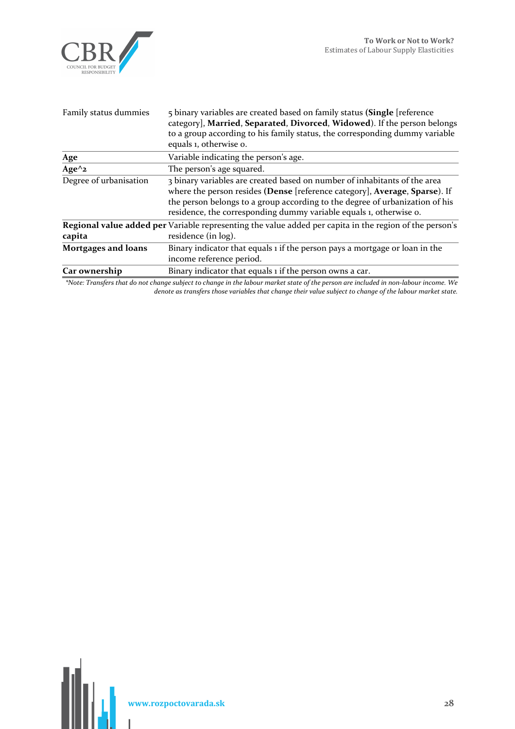

| Family status dummies        | 5 binary variables are created based on family status (Single [reference]<br>category], Married, Separated, Divorced, Widowed). If the person belongs<br>to a group according to his family status, the corresponding dummy variable<br>equals 1, otherwise o.                                                |
|------------------------------|---------------------------------------------------------------------------------------------------------------------------------------------------------------------------------------------------------------------------------------------------------------------------------------------------------------|
| Age                          | Variable indicating the person's age.                                                                                                                                                                                                                                                                         |
| Age $^{\wedge}$ <sub>2</sub> | The person's age squared.                                                                                                                                                                                                                                                                                     |
| Degree of urbanisation       | 3 binary variables are created based on number of inhabitants of the area<br>where the person resides (Dense [reference category], Average, Sparse). If<br>the person belongs to a group according to the degree of urbanization of his<br>residence, the corresponding dummy variable equals 1, otherwise o. |
| capita                       | Regional value added per Variable representing the value added per capita in the region of the person's<br>residence (in log).                                                                                                                                                                                |
| <b>Mortgages and loans</b>   | Binary indicator that equals 1 if the person pays a mortgage or loan in the<br>income reference period.                                                                                                                                                                                                       |
| Car ownership                | Binary indicator that equals 1 if the person owns a car.                                                                                                                                                                                                                                                      |

*\*Note: Transfers that do not change subject to change in the labour market state of the person are included in non-labour income. We denote as transfers those variables that change their value subject to change of the labour market state.*

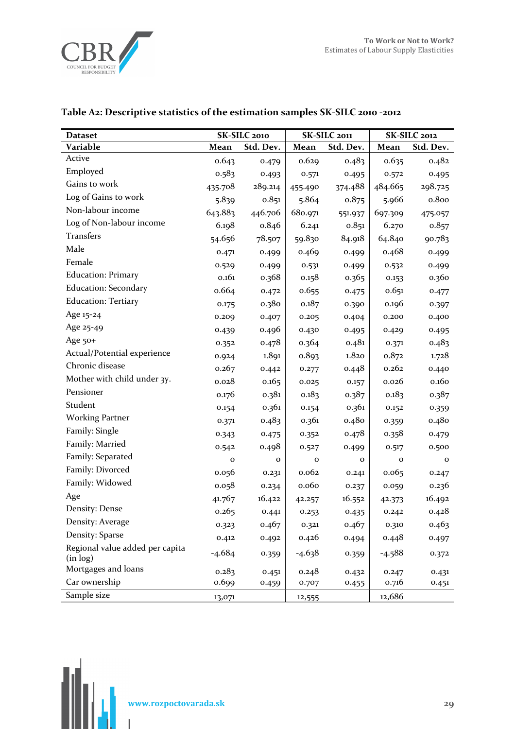

| <b>Dataset</b>                              | SK-SILC 2010 |              |              | SK-SILC 2011 | SK-SILC 2012 |             |  |
|---------------------------------------------|--------------|--------------|--------------|--------------|--------------|-------------|--|
| Variable                                    | Mean         | Std. Dev.    | Mean         | Std. Dev.    | Mean         | Std. Dev.   |  |
| Active                                      | 0.643        | 0.479        | 0.629        | 0.483        | 0.635        | 0.482       |  |
| Employed                                    | 0.583        | 0.493        | 0.571        | 0.495        | 0.572        | 0.495       |  |
| Gains to work                               | 435.708      | 289.214      | 455.490      | 374.488      | 484.665      | 298.725     |  |
| Log of Gains to work                        | 5.839        | 0.851        | 5.864        | 0.875        | 5.966        | 0.800       |  |
| Non-labour income                           | 643.883      | 446.706      | 680.971      | 551.937      | 697.309      | 475.057     |  |
| Log of Non-labour income                    | 6.198        | 0.846        | 6.241        | 0.851        | 6.270        | 0.857       |  |
| Transfers                                   | 54.656       | 78.507       | 59.830       | 84.918       | 64.840       | 90.783      |  |
| Male                                        | 0.471        | 0.499        | 0.469        | 0.499        | 0.468        | 0.499       |  |
| Female                                      | 0.529        | 0.499        | 0.531        | 0.499        | 0.532        | 0.499       |  |
| <b>Education: Primary</b>                   | 0.161        | 0.368        | 0.158        | 0.365        | 0.153        | 0.360       |  |
| <b>Education: Secondary</b>                 | 0.664        | 0.472        | 0.655        | 0.475        | 0.651        | 0.477       |  |
| <b>Education: Tertiary</b>                  | 0.175        | 0.380        | 0.187        | 0.390        | 0.196        | 0.397       |  |
| Age 15-24                                   | 0.209        | 0.407        | 0.205        | 0.404        | 0.200        | 0.400       |  |
| Age 25-49                                   | 0.439        | 0.496        | 0.430        | 0.495        | 0.429        | 0.495       |  |
| Age 50+                                     | 0.352        | 0.478        | 0.364        | 0.481        | 0.371        | 0.483       |  |
| Actual/Potential experience                 | 0.924        | 1.891        | 0.893        | 1.820        | 0.872        | 1.728       |  |
| Chronic disease                             | 0.267        | 0.442        | 0.277        | 0.448        | 0.262        | 0.440       |  |
| Mother with child under 3y.                 | 0.028        | 0.165        | 0.025        | 0.157        | 0.026        | 0.160       |  |
| Pensioner                                   | 0.176        | 0.381        | 0.183        | 0.387        | 0.183        | 0.387       |  |
| Student                                     | 0.154        | 0.361        | 0.154        | 0.361        | 0.152        | 0.359       |  |
| <b>Working Partner</b>                      | 0.371        | 0.483        | 0.361        | 0.480        | 0.359        | 0.480       |  |
| Family: Single                              | 0.343        | 0.475        | 0.352        | 0.478        | 0.358        | 0.479       |  |
| Family: Married                             | 0.542        | 0.498        | 0.527        | 0.499        | 0.517        | 0.500       |  |
| Family: Separated                           | o            | $\mathbf{o}$ | $\mathbf{o}$ | $\mathbf 0$  | $\mathbf{o}$ | $\mathbf 0$ |  |
| Family: Divorced                            | 0.056        | 0.231        | 0.062        | 0.241        | 0.065        | 0.247       |  |
| Family: Widowed                             | 0.058        | 0.234        | 0.060        | 0.237        | 0.059        | 0.236       |  |
| Age                                         | 41.767       | 16.422       | 42.257       | 16.552       | 42.373       | 16.492      |  |
| Density: Dense                              | 0.265        | 0.441        | 0.253        | 0.435        | 0.242        | 0.428       |  |
| Density: Average                            | 0.323        | 0.467        | 0.321        | 0.467        | 0.310        | 0.463       |  |
| Density: Sparse                             | 0.412        | 0.492        | 0.426        | 0.494        | 0.448        | 0.497       |  |
| Regional value added per capita<br>(in log) | $-4.684$     | 0.359        | $-4.638$     | 0.359        | $-4.588$     | 0.372       |  |
| Mortgages and loans                         | 0.283        | 0.451        | 0.248        | 0.432        | 0.247        | 0.431       |  |
| Car ownership                               | 0.699        | 0.459        | 0.707        | 0.455        | 0.716        | 0.451       |  |
| Sample size                                 | 13,071       |              | 12,555       |              | 12,686       |             |  |

# **Table A2: Descriptive statistics of the estimation samples SK-SILC 2010 -2012**

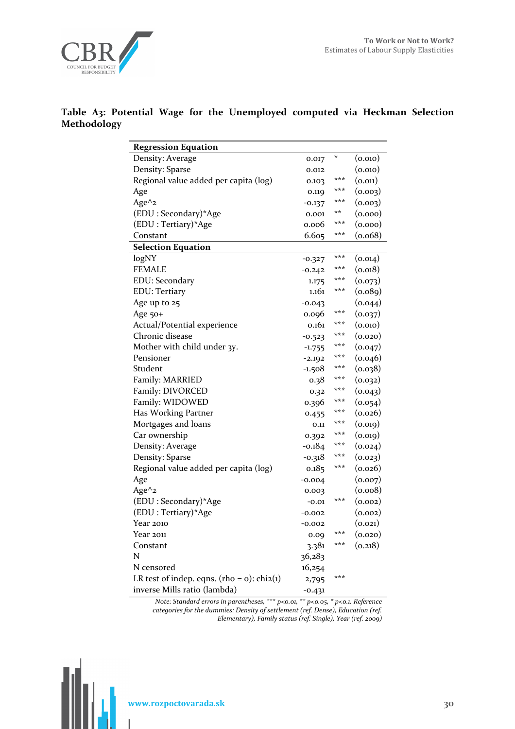

### **Table A3: Potential Wage for the Unemployed computed via Heckman Selection Methodology**

| <b>Regression Equation</b>                       |          |     |              |
|--------------------------------------------------|----------|-----|--------------|
| Density: Average                                 | 0.017    | *   | (0.010)      |
| Density: Sparse                                  | 0.012    |     | (0.010)      |
| Regional value added per capita (log)            | 0.103    | *** | (0.011)      |
| Age                                              | 0.119    | *** | (0.003)      |
| Age $\wedge$ <sub>2</sub>                        | $-0.137$ | *** | (0.003)      |
| (EDU: Secondary)*Age                             | 0.001    | **  | (0.000)      |
| (EDU: Tertiary)*Age                              | 0.006    | *** | (0.000)      |
| Constant                                         | 6.605    | *** | (0.068)      |
| <b>Selection Equation</b>                        |          |     |              |
| logNY                                            | $-0.327$ | *** | (0.014)      |
| <b>FEMALE</b>                                    | $-0.242$ | *** | (0.018)      |
| EDU: Secondary                                   | 1.175    | *** | (0.073)      |
| <b>EDU</b> : Tertiary                            | 1.161    | *** | (0.089)      |
| Age up to 25                                     | $-0.043$ |     | (0.044)      |
| Age 50+                                          | 0.096    | *** | (0.037)      |
| Actual/Potential experience                      | 0.161    | *** | (0.010)      |
| Chronic disease                                  | $-0.523$ | *** | (0.020)      |
| Mother with child under 3y.                      | $-1.755$ | *** | (0.047)      |
| Pensioner                                        | $-2.192$ | *** | (0.046)      |
| Student                                          | $-1.508$ | *** | (0.038)      |
| Family: MARRIED                                  | 0.38     | *** | (0.032)      |
| Family: DIVORCED                                 | 0.32     | *** | (0.043)      |
| Family: WIDOWED                                  | 0.396    | *** | (0.054)      |
| Has Working Partner                              | 0.455    | *** | (0.026)      |
| Mortgages and loans                              | 0.11     | *** | (0.019)      |
| Car ownership                                    | 0.392    | *** | (0.019)      |
| Density: Average                                 | $-0.184$ | *** | (0.024)      |
| Density: Sparse                                  | $-0.318$ | *** | (0.023)      |
| Regional value added per capita (log)            | 0.185    | *** | (0.026)      |
| Age                                              | $-0.004$ |     | (0.007)      |
| Age $^{\wedge}$ <sub>2</sub>                     | 0.003    |     | (0.008)      |
| (EDU: Secondary)*Age                             | $-0.01$  | *** | (0.002)      |
| (EDU: Tertiary)*Age                              | -0.002   |     | (0.002)      |
| Year 2010                                        | $-0.002$ |     | (0.021)      |
| Year 2011                                        | 0.09     | *** | $_{(0.020)}$ |
| Constant                                         | 3.381    | *** | (0.218)      |
| N                                                | 36,283   |     |              |
| N censored                                       | 16,254   |     |              |
| LR test of indep. eqns. (rho = $o$ ): chi $2(i)$ | 2,795    | *** |              |
| inverse Mills ratio (lambda)                     | $-0.431$ |     |              |

*Note: Standard errors in parentheses, \*\*\* p<0.01, \*\* p<0.05, \* p<0.1. Reference categories for the dummies: Density of settlement (ref. Dense), Education (ref. Elementary), Family status (ref. Single), Year (ref. 2009)* 

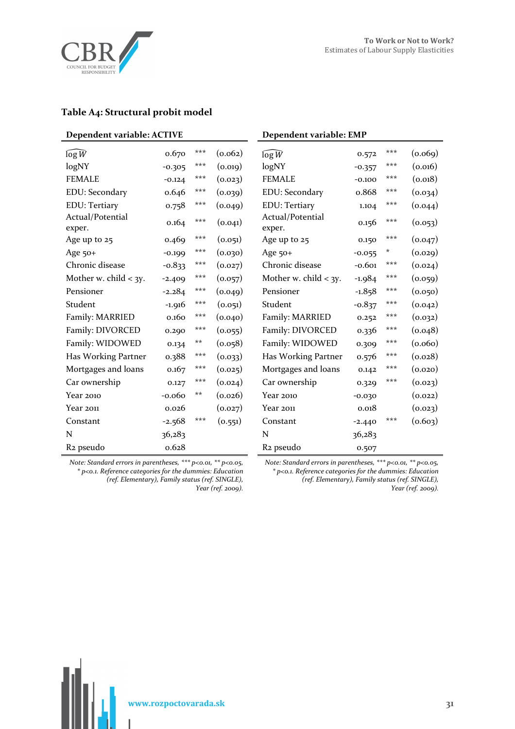

### **Table A4: Structural probit model**

| Dependent variable: ACTIVE |          |       | Dependent variable: EMP |                            |          |     |         |
|----------------------------|----------|-------|-------------------------|----------------------------|----------|-----|---------|
| $\log W$                   | 0.670    | ***   | (0.062)                 | $\log W$                   | 0.572    | *** | (0.069) |
| logNY                      | $-0.305$ | ***   | (0.019)                 | logNY                      | $-0.357$ | *** | (0.016) |
| <b>FEMALE</b>              | $-0.124$ | ***   | (0.023)                 | <b>FEMALE</b>              | $-0.100$ | *** | (0.018) |
| EDU: Secondary             | 0.646    | ***   | (0.039)                 | EDU: Secondary             | 0.868    | *** | (0.034) |
| <b>EDU</b> : Tertiary      | 0.758    | ***   | (0.049)                 | <b>EDU</b> : Tertiary      | 1.104    | *** | (0.044) |
| Actual/Potential<br>exper. | 0.164    | ***   | (0.041)                 | Actual/Potential<br>exper. | 0.156    | *** | (0.053) |
| Age up to 25               | 0.469    | ***   | (0.051)                 | Age up to 25               | 0.150    | *** | (0.047) |
| Age $50+$                  | $-0.199$ | ***   | (0.030)                 | Age $50+$                  | $-0.055$ | *   | (0.029) |
| Chronic disease            | $-0.833$ | ***   | (0.027)                 | Chronic disease            | $-0.601$ | *** | (0.024) |
| Mother w. child $<$ 3y.    | $-2.409$ | ***   | (0.057)                 | Mother w. child $\lt$ 3y.  | $-1.984$ | *** | (0.059) |
| Pensioner                  | $-2.284$ | ***   | (0.049)                 | Pensioner                  | $-1.858$ | *** | (0.050) |
| Student                    | $-1.916$ | ***   | (0.051)                 | Student                    | $-0.837$ | *** | (0.042) |
| Family: MARRIED            | 0.160    | ***   | (0.040)                 | Family: MARRIED            | 0.252    | *** | (0.032) |
| Family: DIVORCED           | 0.290    | ***   | (0.055)                 | Family: DIVORCED           | 0.336    | *** | (0.048) |
| Family: WIDOWED            | 0.134    | $***$ | (0.058)                 | Family: WIDOWED            | 0.309    | *** | (0.060) |
| Has Working Partner        | 0.388    | ***   | (0.033)                 | Has Working Partner        | 0.576    | *** | (0.028) |
| Mortgages and loans        | 0.167    | ***   | (0.025)                 | Mortgages and loans        | 0.142    | *** | (0.020) |
| Car ownership              | 0.127    | ***   | (0.024)                 | Car ownership              | 0.329    | *** | (0.023) |
| Year 2010                  | $-0.060$ | **    | (0.026)                 | Year 2010                  | $-0.030$ |     | (0.022) |
| Year 2011                  | 0.026    |       | (0.027)                 | Year 2011                  | 0.018    |     | (0.023) |
| Constant                   | $-2.568$ | ***   | (0.551)                 | Constant                   | $-2.440$ | *** | (0.603) |
| N                          | 36,283   |       |                         | N                          | 36,283   |     |         |
| R <sub>2</sub> pseudo      | 0.628    |       |                         | R <sub>2</sub> pseudo      | 0.507    |     |         |

*Note: Standard errors in parentheses, \*\*\* p<0.01, \*\* p<0.05, \* p<0.1. Reference categories for the dummies: Education (ref. Elementary), Family status (ref. SINGLE), Year (ref. 2009).* 

*Note: Standard errors in parentheses, \*\*\* p<0.01, \*\* p<0.05, \* p<0.1. Reference categories for the dummies: Education (ref. Elementary), Family status (ref. SINGLE), Year (ref. 2009).*